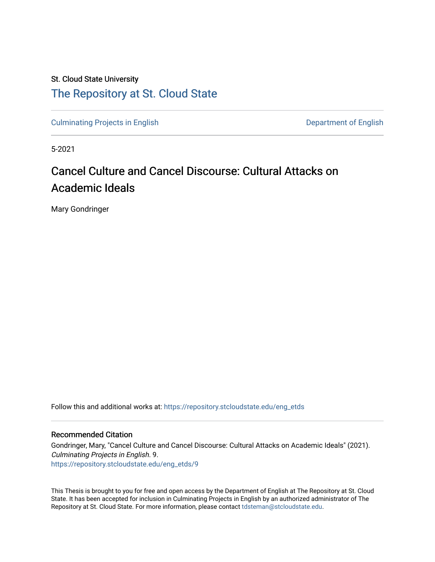## St. Cloud State University [The Repository at St. Cloud State](https://repository.stcloudstate.edu/)

[Culminating Projects in English](https://repository.stcloudstate.edu/eng_etds) Culminating Projects in English

5-2021

# Cancel Culture and Cancel Discourse: Cultural Attacks on Academic Ideals

Mary Gondringer

Follow this and additional works at: [https://repository.stcloudstate.edu/eng\\_etds](https://repository.stcloudstate.edu/eng_etds?utm_source=repository.stcloudstate.edu%2Feng_etds%2F9&utm_medium=PDF&utm_campaign=PDFCoverPages) 

#### Recommended Citation

Gondringer, Mary, "Cancel Culture and Cancel Discourse: Cultural Attacks on Academic Ideals" (2021). Culminating Projects in English. 9. [https://repository.stcloudstate.edu/eng\\_etds/9](https://repository.stcloudstate.edu/eng_etds/9?utm_source=repository.stcloudstate.edu%2Feng_etds%2F9&utm_medium=PDF&utm_campaign=PDFCoverPages) 

This Thesis is brought to you for free and open access by the Department of English at The Repository at St. Cloud State. It has been accepted for inclusion in Culminating Projects in English by an authorized administrator of The Repository at St. Cloud State. For more information, please contact [tdsteman@stcloudstate.edu.](mailto:tdsteman@stcloudstate.edu)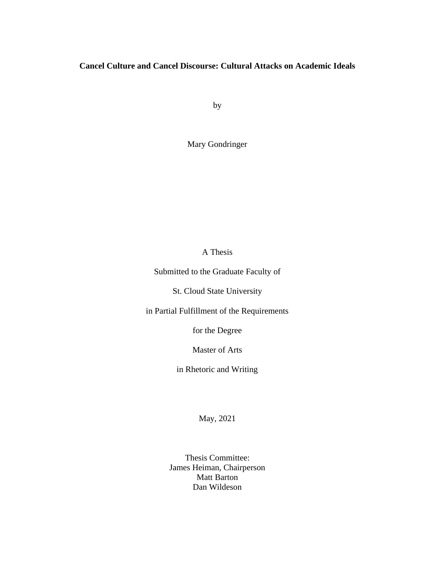## **Cancel Culture and Cancel Discourse: Cultural Attacks on Academic Ideals**

by

Mary Gondringer

### A Thesis

Submitted to the Graduate Faculty of

St. Cloud State University

in Partial Fulfillment of the Requirements

for the Degree

Master of Arts

in Rhetoric and Writing

May, 2021

Thesis Committee: James Heiman, Chairperson Matt Barton Dan Wildeson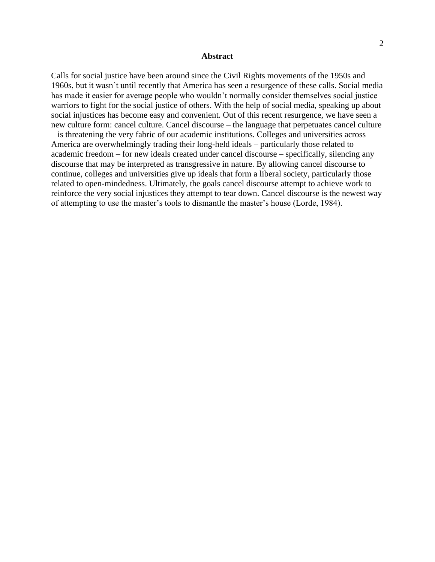#### **Abstract**

Calls for social justice have been around since the Civil Rights movements of the 1950s and 1960s, but it wasn't until recently that America has seen a resurgence of these calls. Social media has made it easier for average people who wouldn't normally consider themselves social justice warriors to fight for the social justice of others. With the help of social media, speaking up about social injustices has become easy and convenient. Out of this recent resurgence, we have seen a new culture form: cancel culture. Cancel discourse – the language that perpetuates cancel culture – is threatening the very fabric of our academic institutions. Colleges and universities across America are overwhelmingly trading their long-held ideals – particularly those related to academic freedom – for new ideals created under cancel discourse – specifically, silencing any discourse that may be interpreted as transgressive in nature. By allowing cancel discourse to continue, colleges and universities give up ideals that form a liberal society, particularly those related to open-mindedness. Ultimately, the goals cancel discourse attempt to achieve work to reinforce the very social injustices they attempt to tear down. Cancel discourse is the newest way of attempting to use the master's tools to dismantle the master's house (Lorde, 1984).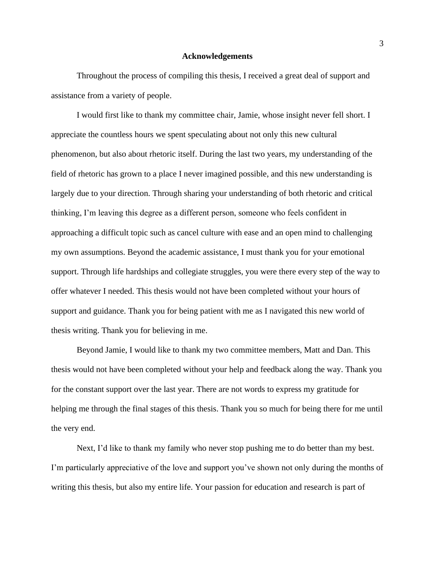#### **Acknowledgements**

Throughout the process of compiling this thesis, I received a great deal of support and assistance from a variety of people.

I would first like to thank my committee chair, Jamie, whose insight never fell short. I appreciate the countless hours we spent speculating about not only this new cultural phenomenon, but also about rhetoric itself. During the last two years, my understanding of the field of rhetoric has grown to a place I never imagined possible, and this new understanding is largely due to your direction. Through sharing your understanding of both rhetoric and critical thinking, I'm leaving this degree as a different person, someone who feels confident in approaching a difficult topic such as cancel culture with ease and an open mind to challenging my own assumptions. Beyond the academic assistance, I must thank you for your emotional support. Through life hardships and collegiate struggles, you were there every step of the way to offer whatever I needed. This thesis would not have been completed without your hours of support and guidance. Thank you for being patient with me as I navigated this new world of thesis writing. Thank you for believing in me.

Beyond Jamie, I would like to thank my two committee members, Matt and Dan. This thesis would not have been completed without your help and feedback along the way. Thank you for the constant support over the last year. There are not words to express my gratitude for helping me through the final stages of this thesis. Thank you so much for being there for me until the very end.

Next, I'd like to thank my family who never stop pushing me to do better than my best. I'm particularly appreciative of the love and support you've shown not only during the months of writing this thesis, but also my entire life. Your passion for education and research is part of

3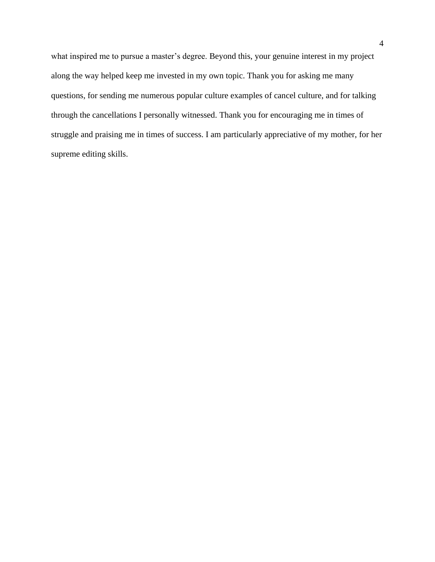what inspired me to pursue a master's degree. Beyond this, your genuine interest in my project along the way helped keep me invested in my own topic. Thank you for asking me many questions, for sending me numerous popular culture examples of cancel culture, and for talking through the cancellations I personally witnessed. Thank you for encouraging me in times of struggle and praising me in times of success. I am particularly appreciative of my mother, for her supreme editing skills.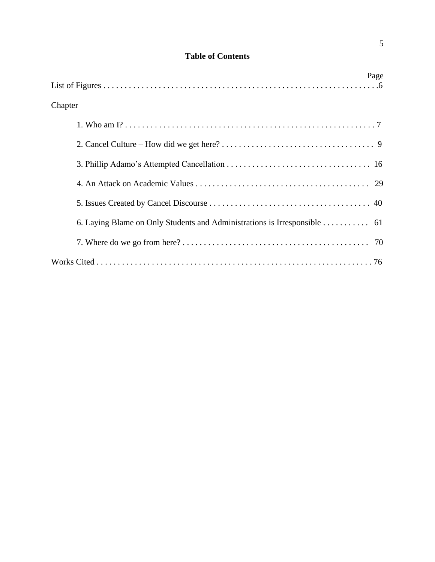| <b>Table of Contents</b> |  |
|--------------------------|--|
|--------------------------|--|

| Page                                                                     |
|--------------------------------------------------------------------------|
|                                                                          |
| Chapter                                                                  |
|                                                                          |
|                                                                          |
|                                                                          |
|                                                                          |
|                                                                          |
| 6. Laying Blame on Only Students and Administrations is Irresponsible 61 |
|                                                                          |
|                                                                          |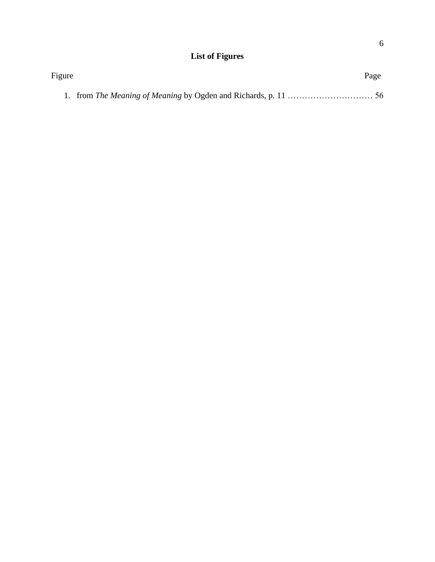# **List of Figures**

| Figure | Page |
|--------|------|
|        |      |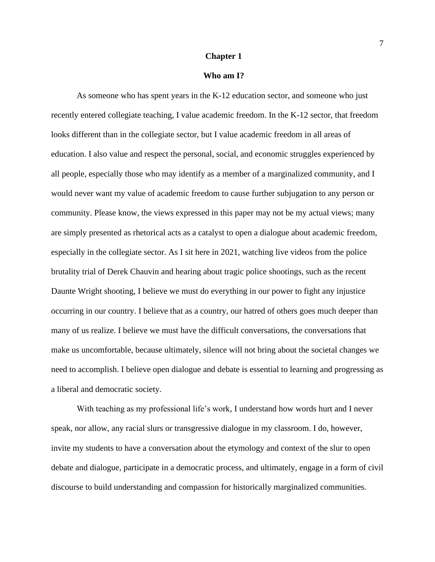#### **Chapter 1**

#### **Who am I?**

As someone who has spent years in the K-12 education sector, and someone who just recently entered collegiate teaching, I value academic freedom. In the K-12 sector, that freedom looks different than in the collegiate sector, but I value academic freedom in all areas of education. I also value and respect the personal, social, and economic struggles experienced by all people, especially those who may identify as a member of a marginalized community, and I would never want my value of academic freedom to cause further subjugation to any person or community. Please know, the views expressed in this paper may not be my actual views; many are simply presented as rhetorical acts as a catalyst to open a dialogue about academic freedom, especially in the collegiate sector. As I sit here in 2021, watching live videos from the police brutality trial of Derek Chauvin and hearing about tragic police shootings, such as the recent Daunte Wright shooting, I believe we must do everything in our power to fight any injustice occurring in our country. I believe that as a country, our hatred of others goes much deeper than many of us realize. I believe we must have the difficult conversations, the conversations that make us uncomfortable, because ultimately, silence will not bring about the societal changes we need to accomplish. I believe open dialogue and debate is essential to learning and progressing as a liberal and democratic society.

With teaching as my professional life's work, I understand how words hurt and I never speak, nor allow, any racial slurs or transgressive dialogue in my classroom. I do, however, invite my students to have a conversation about the etymology and context of the slur to open debate and dialogue, participate in a democratic process, and ultimately, engage in a form of civil discourse to build understanding and compassion for historically marginalized communities.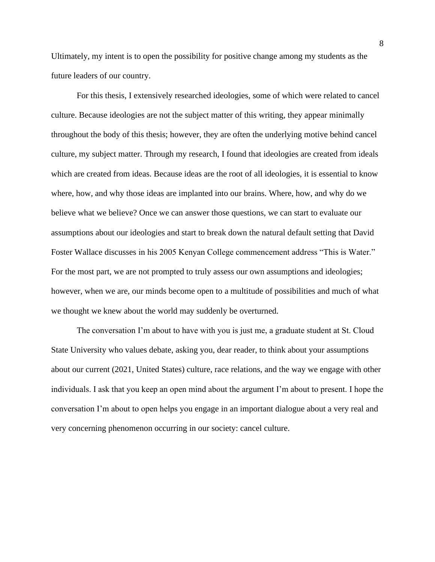Ultimately, my intent is to open the possibility for positive change among my students as the future leaders of our country.

For this thesis, I extensively researched ideologies, some of which were related to cancel culture. Because ideologies are not the subject matter of this writing, they appear minimally throughout the body of this thesis; however, they are often the underlying motive behind cancel culture, my subject matter. Through my research, I found that ideologies are created from ideals which are created from ideas. Because ideas are the root of all ideologies, it is essential to know where, how, and why those ideas are implanted into our brains. Where, how, and why do we believe what we believe? Once we can answer those questions, we can start to evaluate our assumptions about our ideologies and start to break down the natural default setting that David Foster Wallace discusses in his 2005 Kenyan College commencement address "This is Water." For the most part, we are not prompted to truly assess our own assumptions and ideologies; however, when we are, our minds become open to a multitude of possibilities and much of what we thought we knew about the world may suddenly be overturned.

The conversation I'm about to have with you is just me, a graduate student at St. Cloud State University who values debate, asking you, dear reader, to think about your assumptions about our current (2021, United States) culture, race relations, and the way we engage with other individuals. I ask that you keep an open mind about the argument I'm about to present. I hope the conversation I'm about to open helps you engage in an important dialogue about a very real and very concerning phenomenon occurring in our society: cancel culture.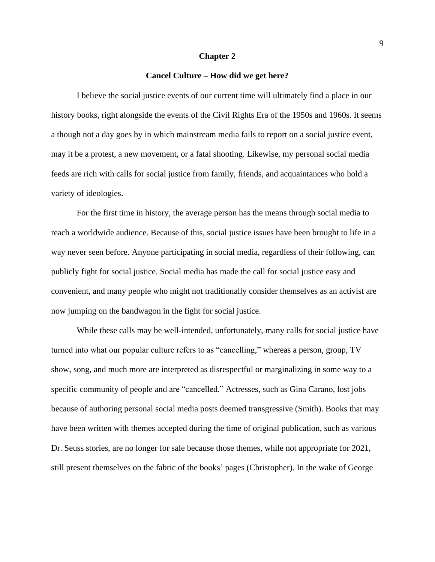#### **Chapter 2**

#### **Cancel Culture – How did we get here?**

I believe the social justice events of our current time will ultimately find a place in our history books, right alongside the events of the Civil Rights Era of the 1950s and 1960s. It seems a though not a day goes by in which mainstream media fails to report on a social justice event, may it be a protest, a new movement, or a fatal shooting. Likewise, my personal social media feeds are rich with calls for social justice from family, friends, and acquaintances who hold a variety of ideologies.

For the first time in history, the average person has the means through social media to reach a worldwide audience. Because of this, social justice issues have been brought to life in a way never seen before. Anyone participating in social media, regardless of their following, can publicly fight for social justice. Social media has made the call for social justice easy and convenient, and many people who might not traditionally consider themselves as an activist are now jumping on the bandwagon in the fight for social justice.

While these calls may be well-intended, unfortunately, many calls for social justice have turned into what our popular culture refers to as "cancelling," whereas a person, group, TV show, song, and much more are interpreted as disrespectful or marginalizing in some way to a specific community of people and are "cancelled." Actresses, such as Gina Carano, lost jobs because of authoring personal social media posts deemed transgressive (Smith). Books that may have been written with themes accepted during the time of original publication, such as various Dr. Seuss stories, are no longer for sale because those themes, while not appropriate for 2021, still present themselves on the fabric of the books' pages (Christopher). In the wake of George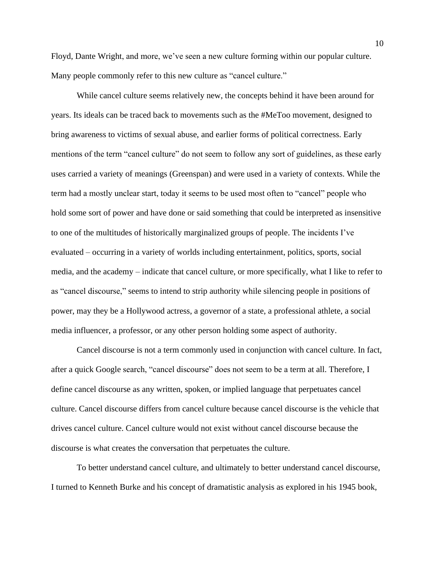Floyd, Dante Wright, and more, we've seen a new culture forming within our popular culture. Many people commonly refer to this new culture as "cancel culture."

While cancel culture seems relatively new, the concepts behind it have been around for years. Its ideals can be traced back to movements such as the #MeToo movement, designed to bring awareness to victims of sexual abuse, and earlier forms of political correctness. Early mentions of the term "cancel culture" do not seem to follow any sort of guidelines, as these early uses carried a variety of meanings (Greenspan) and were used in a variety of contexts. While the term had a mostly unclear start, today it seems to be used most often to "cancel" people who hold some sort of power and have done or said something that could be interpreted as insensitive to one of the multitudes of historically marginalized groups of people. The incidents I've evaluated – occurring in a variety of worlds including entertainment, politics, sports, social media, and the academy – indicate that cancel culture, or more specifically, what I like to refer to as "cancel discourse," seems to intend to strip authority while silencing people in positions of power, may they be a Hollywood actress, a governor of a state, a professional athlete, a social media influencer, a professor, or any other person holding some aspect of authority.

Cancel discourse is not a term commonly used in conjunction with cancel culture. In fact, after a quick Google search, "cancel discourse" does not seem to be a term at all. Therefore, I define cancel discourse as any written, spoken, or implied language that perpetuates cancel culture. Cancel discourse differs from cancel culture because cancel discourse is the vehicle that drives cancel culture. Cancel culture would not exist without cancel discourse because the discourse is what creates the conversation that perpetuates the culture.

To better understand cancel culture, and ultimately to better understand cancel discourse, I turned to Kenneth Burke and his concept of dramatistic analysis as explored in his 1945 book,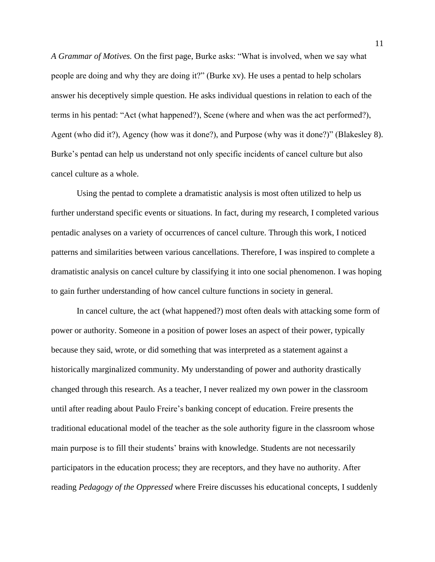*A Grammar of Motives.* On the first page, Burke asks: "What is involved, when we say what people are doing and why they are doing it?" (Burke xv). He uses a pentad to help scholars answer his deceptively simple question. He asks individual questions in relation to each of the terms in his pentad: "Act (what happened?), Scene (where and when was the act performed?), Agent (who did it?), Agency (how was it done?), and Purpose (why was it done?)" (Blakesley 8). Burke's pentad can help us understand not only specific incidents of cancel culture but also cancel culture as a whole.

Using the pentad to complete a dramatistic analysis is most often utilized to help us further understand specific events or situations. In fact, during my research, I completed various pentadic analyses on a variety of occurrences of cancel culture. Through this work, I noticed patterns and similarities between various cancellations. Therefore, I was inspired to complete a dramatistic analysis on cancel culture by classifying it into one social phenomenon. I was hoping to gain further understanding of how cancel culture functions in society in general.

In cancel culture, the act (what happened?) most often deals with attacking some form of power or authority. Someone in a position of power loses an aspect of their power, typically because they said, wrote, or did something that was interpreted as a statement against a historically marginalized community. My understanding of power and authority drastically changed through this research. As a teacher, I never realized my own power in the classroom until after reading about Paulo Freire's banking concept of education. Freire presents the traditional educational model of the teacher as the sole authority figure in the classroom whose main purpose is to fill their students' brains with knowledge. Students are not necessarily participators in the education process; they are receptors, and they have no authority. After reading *Pedagogy of the Oppressed* where Freire discusses his educational concepts, I suddenly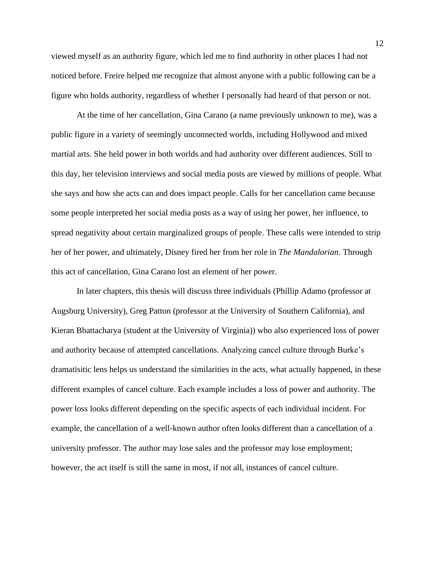viewed myself as an authority figure, which led me to find authority in other places I had not noticed before. Freire helped me recognize that almost anyone with a public following can be a figure who holds authority, regardless of whether I personally had heard of that person or not.

At the time of her cancellation, Gina Carano (a name previously unknown to me), was a public figure in a variety of seemingly unconnected worlds, including Hollywood and mixed martial arts. She held power in both worlds and had authority over different audiences. Still to this day, her television interviews and social media posts are viewed by millions of people. What she says and how she acts can and does impact people. Calls for her cancellation came because some people interpreted her social media posts as a way of using her power, her influence, to spread negativity about certain marginalized groups of people. These calls were intended to strip her of her power, and ultimately, Disney fired her from her role in *The Mandalorian*. Through this act of cancellation, Gina Carano lost an element of her power.

In later chapters, this thesis will discuss three individuals (Phillip Adamo (professor at Augsburg University), Greg Patton (professor at the University of Southern California), and Kieran Bhattacharya (student at the University of Virginia)) who also experienced loss of power and authority because of attempted cancellations. Analyzing cancel culture through Burke's dramatisitic lens helps us understand the similarities in the acts, what actually happened, in these different examples of cancel culture. Each example includes a loss of power and authority. The power loss looks different depending on the specific aspects of each individual incident. For example, the cancellation of a well-known author often looks different than a cancellation of a university professor. The author may lose sales and the professor may lose employment; however, the act itself is still the same in most, if not all, instances of cancel culture.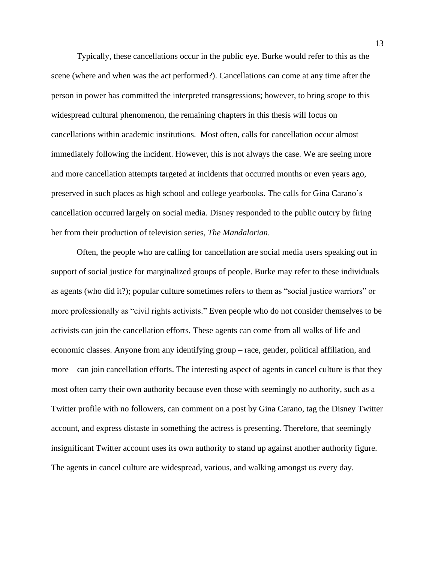Typically, these cancellations occur in the public eye. Burke would refer to this as the scene (where and when was the act performed?). Cancellations can come at any time after the person in power has committed the interpreted transgressions; however, to bring scope to this widespread cultural phenomenon, the remaining chapters in this thesis will focus on cancellations within academic institutions. Most often, calls for cancellation occur almost immediately following the incident. However, this is not always the case. We are seeing more and more cancellation attempts targeted at incidents that occurred months or even years ago, preserved in such places as high school and college yearbooks. The calls for Gina Carano's cancellation occurred largely on social media. Disney responded to the public outcry by firing her from their production of television series, *The Mandalorian*.

Often, the people who are calling for cancellation are social media users speaking out in support of social justice for marginalized groups of people. Burke may refer to these individuals as agents (who did it?); popular culture sometimes refers to them as "social justice warriors" or more professionally as "civil rights activists." Even people who do not consider themselves to be activists can join the cancellation efforts. These agents can come from all walks of life and economic classes. Anyone from any identifying group – race, gender, political affiliation, and more – can join cancellation efforts. The interesting aspect of agents in cancel culture is that they most often carry their own authority because even those with seemingly no authority, such as a Twitter profile with no followers, can comment on a post by Gina Carano, tag the Disney Twitter account, and express distaste in something the actress is presenting. Therefore, that seemingly insignificant Twitter account uses its own authority to stand up against another authority figure. The agents in cancel culture are widespread, various, and walking amongst us every day.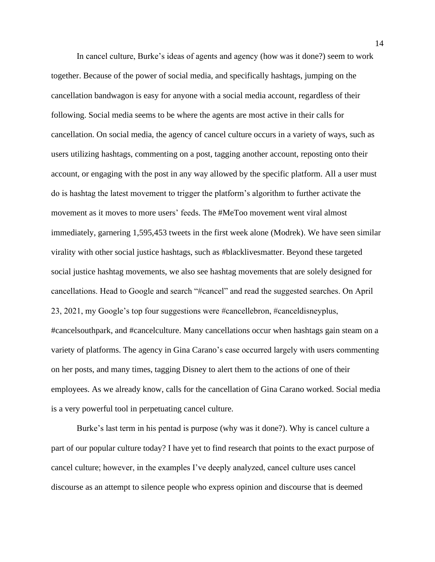In cancel culture, Burke's ideas of agents and agency (how was it done?) seem to work together. Because of the power of social media, and specifically hashtags, jumping on the cancellation bandwagon is easy for anyone with a social media account, regardless of their following. Social media seems to be where the agents are most active in their calls for cancellation. On social media, the agency of cancel culture occurs in a variety of ways, such as users utilizing hashtags, commenting on a post, tagging another account, reposting onto their account, or engaging with the post in any way allowed by the specific platform. All a user must do is hashtag the latest movement to trigger the platform's algorithm to further activate the movement as it moves to more users' feeds. The #MeToo movement went viral almost immediately, garnering 1,595,453 tweets in the first week alone (Modrek). We have seen similar virality with other social justice hashtags, such as #blacklivesmatter. Beyond these targeted social justice hashtag movements, we also see hashtag movements that are solely designed for cancellations. Head to Google and search "#cancel" and read the suggested searches. On April 23, 2021, my Google's top four suggestions were #cancellebron, #canceldisneyplus, #cancelsouthpark, and #cancelculture. Many cancellations occur when hashtags gain steam on a variety of platforms. The agency in Gina Carano's case occurred largely with users commenting on her posts, and many times, tagging Disney to alert them to the actions of one of their employees. As we already know, calls for the cancellation of Gina Carano worked. Social media is a very powerful tool in perpetuating cancel culture.

Burke's last term in his pentad is purpose (why was it done?). Why is cancel culture a part of our popular culture today? I have yet to find research that points to the exact purpose of cancel culture; however, in the examples I've deeply analyzed, cancel culture uses cancel discourse as an attempt to silence people who express opinion and discourse that is deemed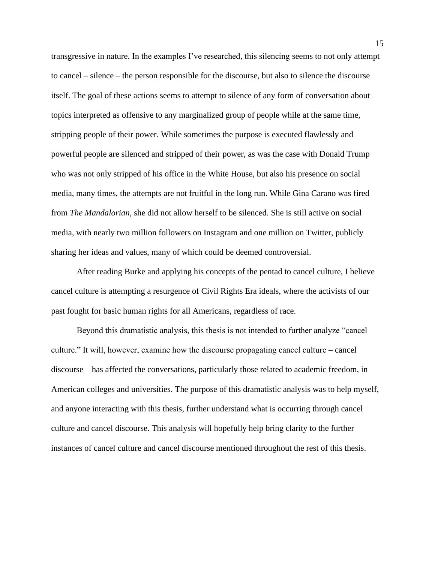transgressive in nature. In the examples I've researched, this silencing seems to not only attempt to cancel – silence – the person responsible for the discourse, but also to silence the discourse itself. The goal of these actions seems to attempt to silence of any form of conversation about topics interpreted as offensive to any marginalized group of people while at the same time, stripping people of their power. While sometimes the purpose is executed flawlessly and powerful people are silenced and stripped of their power, as was the case with Donald Trump who was not only stripped of his office in the White House, but also his presence on social media, many times, the attempts are not fruitful in the long run. While Gina Carano was fired from *The Mandalorian*, she did not allow herself to be silenced. She is still active on social media, with nearly two million followers on Instagram and one million on Twitter, publicly sharing her ideas and values, many of which could be deemed controversial.

After reading Burke and applying his concepts of the pentad to cancel culture, I believe cancel culture is attempting a resurgence of Civil Rights Era ideals, where the activists of our past fought for basic human rights for all Americans, regardless of race.

Beyond this dramatistic analysis, this thesis is not intended to further analyze "cancel culture." It will, however, examine how the discourse propagating cancel culture – cancel discourse – has affected the conversations, particularly those related to academic freedom, in American colleges and universities. The purpose of this dramatistic analysis was to help myself, and anyone interacting with this thesis, further understand what is occurring through cancel culture and cancel discourse. This analysis will hopefully help bring clarity to the further instances of cancel culture and cancel discourse mentioned throughout the rest of this thesis.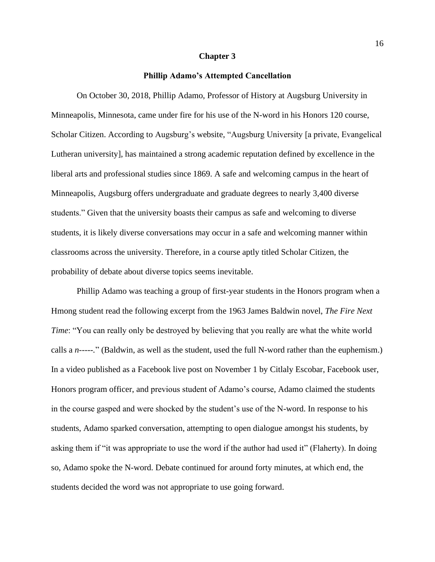#### **Chapter 3**

#### **Phillip Adamo's Attempted Cancellation**

On October 30, 2018, Phillip Adamo, Professor of History at Augsburg University in Minneapolis, Minnesota, came under fire for his use of the N-word in his Honors 120 course, Scholar Citizen. According to Augsburg's website, "Augsburg University [a private, Evangelical Lutheran university], has maintained a strong academic reputation defined by excellence in the liberal arts and professional studies since 1869. A safe and welcoming campus in the heart of Minneapolis, Augsburg offers undergraduate and graduate degrees to nearly 3,400 diverse students." Given that the university boasts their campus as safe and welcoming to diverse students, it is likely diverse conversations may occur in a safe and welcoming manner within classrooms across the university. Therefore, in a course aptly titled Scholar Citizen, the probability of debate about diverse topics seems inevitable.

Phillip Adamo was teaching a group of first-year students in the Honors program when a Hmong student read the following excerpt from the 1963 James Baldwin novel, *The Fire Next Time*: "You can really only be destroyed by believing that you really are what the white world calls a *n-----.*" (Baldwin, as well as the student, used the full N-word rather than the euphemism.) In a video published as a Facebook live post on November 1 by Citlaly Escobar, Facebook user, Honors program officer, and previous student of Adamo's course, Adamo claimed the students in the course gasped and were shocked by the student's use of the N-word. In response to his students, Adamo sparked conversation, attempting to open dialogue amongst his students, by asking them if "it was appropriate to use the word if the author had used it" (Flaherty). In doing so, Adamo spoke the N-word. Debate continued for around forty minutes, at which end, the students decided the word was not appropriate to use going forward.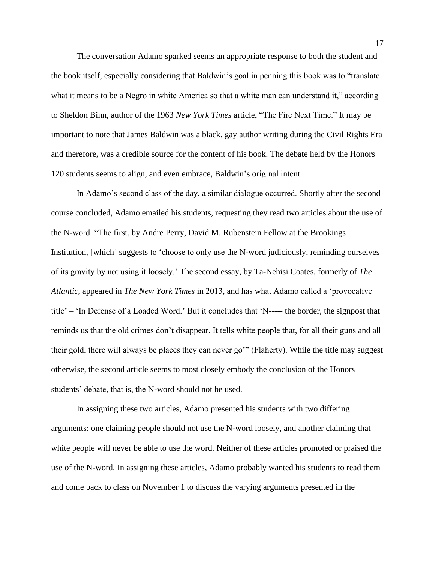The conversation Adamo sparked seems an appropriate response to both the student and the book itself, especially considering that Baldwin's goal in penning this book was to "translate what it means to be a Negro in white America so that a white man can understand it," according to Sheldon Binn, author of the 1963 *New York Times* article, "The Fire Next Time." It may be important to note that James Baldwin was a black, gay author writing during the Civil Rights Era and therefore, was a credible source for the content of his book. The debate held by the Honors 120 students seems to align, and even embrace, Baldwin's original intent.

In Adamo's second class of the day, a similar dialogue occurred. Shortly after the second course concluded, Adamo emailed his students, requesting they read two articles about the use of the N-word. "The first, by Andre Perry, David M. Rubenstein Fellow at the Brookings Institution, [which] suggests to 'choose to only use the N-word judiciously, reminding ourselves of its gravity by not using it loosely.' The second essay, by Ta-Nehisi Coates, formerly of *The Atlantic*, appeared in *The New York Times* in 2013, and has what Adamo called a 'provocative title' – 'In Defense of a Loaded Word.' But it concludes that 'N----- the border, the signpost that reminds us that the old crimes don't disappear. It tells white people that, for all their guns and all their gold, there will always be places they can never go'" (Flaherty). While the title may suggest otherwise, the second article seems to most closely embody the conclusion of the Honors students' debate, that is, the N-word should not be used.

In assigning these two articles, Adamo presented his students with two differing arguments: one claiming people should not use the N-word loosely, and another claiming that white people will never be able to use the word. Neither of these articles promoted or praised the use of the N-word. In assigning these articles, Adamo probably wanted his students to read them and come back to class on November 1 to discuss the varying arguments presented in the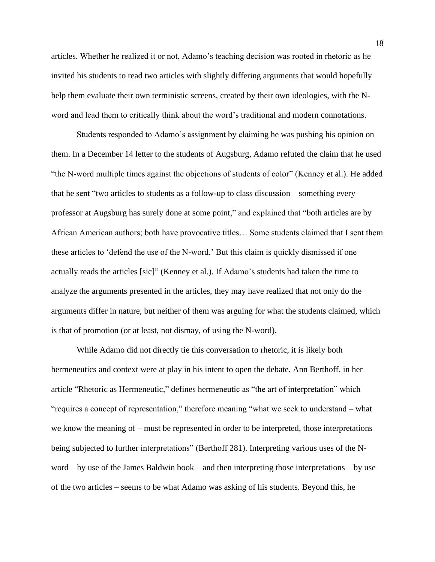articles. Whether he realized it or not, Adamo's teaching decision was rooted in rhetoric as he invited his students to read two articles with slightly differing arguments that would hopefully help them evaluate their own terministic screens, created by their own ideologies, with the Nword and lead them to critically think about the word's traditional and modern connotations.

Students responded to Adamo's assignment by claiming he was pushing his opinion on them. In a December 14 letter to the students of Augsburg, Adamo refuted the claim that he used "the N-word multiple times against the objections of students of color" (Kenney et al.). He added that he sent "two articles to students as a follow-up to class discussion – something every professor at Augsburg has surely done at some point," and explained that "both articles are by African American authors; both have provocative titles… Some students claimed that I sent them these articles to 'defend the use of the N-word.' But this claim is quickly dismissed if one actually reads the articles [sic]" (Kenney et al.). If Adamo's students had taken the time to analyze the arguments presented in the articles, they may have realized that not only do the arguments differ in nature, but neither of them was arguing for what the students claimed, which is that of promotion (or at least, not dismay, of using the N-word).

While Adamo did not directly tie this conversation to rhetoric, it is likely both hermeneutics and context were at play in his intent to open the debate. Ann Berthoff, in her article "Rhetoric as Hermeneutic," defines hermeneutic as "the art of interpretation" which "requires a concept of representation," therefore meaning "what we seek to understand – what we know the meaning of – must be represented in order to be interpreted, those interpretations being subjected to further interpretations" (Berthoff 281). Interpreting various uses of the Nword – by use of the James Baldwin book – and then interpreting those interpretations – by use of the two articles – seems to be what Adamo was asking of his students. Beyond this, he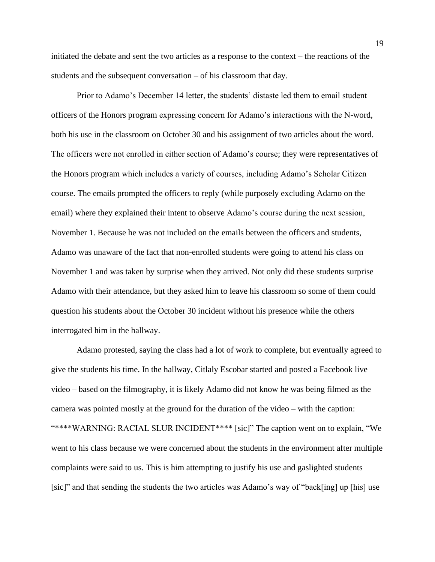initiated the debate and sent the two articles as a response to the context – the reactions of the students and the subsequent conversation – of his classroom that day.

Prior to Adamo's December 14 letter, the students' distaste led them to email student officers of the Honors program expressing concern for Adamo's interactions with the N-word, both his use in the classroom on October 30 and his assignment of two articles about the word. The officers were not enrolled in either section of Adamo's course; they were representatives of the Honors program which includes a variety of courses, including Adamo's Scholar Citizen course. The emails prompted the officers to reply (while purposely excluding Adamo on the email) where they explained their intent to observe Adamo's course during the next session, November 1. Because he was not included on the emails between the officers and students, Adamo was unaware of the fact that non-enrolled students were going to attend his class on November 1 and was taken by surprise when they arrived. Not only did these students surprise Adamo with their attendance, but they asked him to leave his classroom so some of them could question his students about the October 30 incident without his presence while the others interrogated him in the hallway.

Adamo protested, saying the class had a lot of work to complete, but eventually agreed to give the students his time. In the hallway, Citlaly Escobar started and posted a Facebook live video – based on the filmography, it is likely Adamo did not know he was being filmed as the camera was pointed mostly at the ground for the duration of the video – with the caption: "\*\*\*\*WARNING: RACIAL SLUR INCIDENT\*\*\*\* [sic]" The caption went on to explain, "We went to his class because we were concerned about the students in the environment after multiple complaints were said to us. This is him attempting to justify his use and gaslighted students [sic]" and that sending the students the two articles was Adamo's way of "back[ing] up [his] use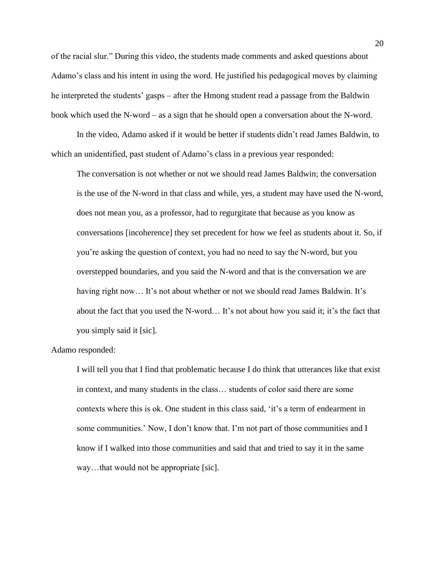of the racial slur." During this video, the students made comments and asked questions about Adamo's class and his intent in using the word. He justified his pedagogical moves by claiming he interpreted the students' gasps – after the Hmong student read a passage from the Baldwin book which used the N-word – as a sign that he should open a conversation about the N-word.

In the video, Adamo asked if it would be better if students didn't read James Baldwin, to which an unidentified, past student of Adamo's class in a previous year responded:

The conversation is not whether or not we should read James Baldwin; the conversation is the use of the N-word in that class and while, yes, a student may have used the N-word, does not mean you, as a professor, had to regurgitate that because as you know as conversations [incoherence] they set precedent for how we feel as students about it. So, if you're asking the question of context, you had no need to say the N-word, but you overstepped boundaries, and you said the N-word and that is the conversation we are having right now... It's not about whether or not we should read James Baldwin. It's about the fact that you used the N-word… It's not about how you said it; it's the fact that you simply said it [sic].

#### Adamo responded:

I will tell you that I find that problematic because I do think that utterances like that exist in context, and many students in the class… students of color said there are some contexts where this is ok. One student in this class said, 'it's a term of endearment in some communities.' Now, I don't know that. I'm not part of those communities and I know if I walked into those communities and said that and tried to say it in the same way…that would not be appropriate [sic].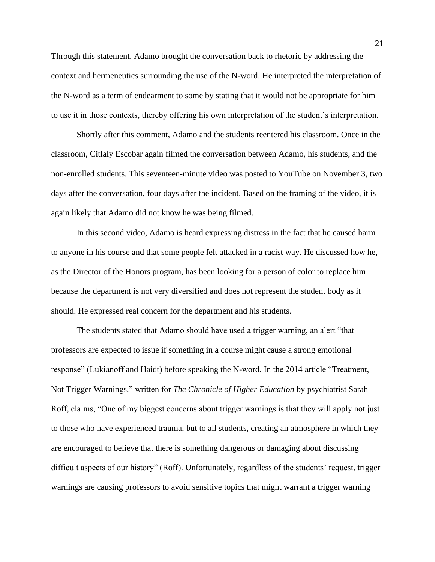Through this statement, Adamo brought the conversation back to rhetoric by addressing the context and hermeneutics surrounding the use of the N-word. He interpreted the interpretation of the N-word as a term of endearment to some by stating that it would not be appropriate for him to use it in those contexts, thereby offering his own interpretation of the student's interpretation.

Shortly after this comment, Adamo and the students reentered his classroom. Once in the classroom, Citlaly Escobar again filmed the conversation between Adamo, his students, and the non-enrolled students. This seventeen-minute video was posted to YouTube on November 3, two days after the conversation, four days after the incident. Based on the framing of the video, it is again likely that Adamo did not know he was being filmed.

In this second video, Adamo is heard expressing distress in the fact that he caused harm to anyone in his course and that some people felt attacked in a racist way. He discussed how he, as the Director of the Honors program, has been looking for a person of color to replace him because the department is not very diversified and does not represent the student body as it should. He expressed real concern for the department and his students.

The students stated that Adamo should have used a trigger warning, an alert "that professors are expected to issue if something in a course might cause a strong emotional response" (Lukianoff and Haidt) before speaking the N-word. In the 2014 article "Treatment, Not Trigger Warnings," written for *The Chronicle of Higher Education* by psychiatrist Sarah Roff, claims, "One of my biggest concerns about trigger warnings is that they will apply not just to those who have experienced trauma, but to all students, creating an atmosphere in which they are encouraged to believe that there is something dangerous or damaging about discussing difficult aspects of our history" (Roff). Unfortunately, regardless of the students' request, trigger warnings are causing professors to avoid sensitive topics that might warrant a trigger warning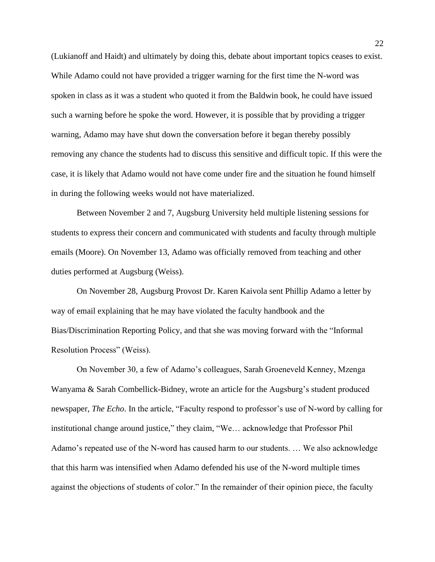(Lukianoff and Haidt) and ultimately by doing this, debate about important topics ceases to exist. While Adamo could not have provided a trigger warning for the first time the N-word was spoken in class as it was a student who quoted it from the Baldwin book, he could have issued such a warning before he spoke the word. However, it is possible that by providing a trigger warning, Adamo may have shut down the conversation before it began thereby possibly removing any chance the students had to discuss this sensitive and difficult topic. If this were the case, it is likely that Adamo would not have come under fire and the situation he found himself in during the following weeks would not have materialized.

Between November 2 and 7, Augsburg University held multiple listening sessions for students to express their concern and communicated with students and faculty through multiple emails (Moore). On November 13, Adamo was officially removed from teaching and other duties performed at Augsburg (Weiss).

On November 28, Augsburg Provost Dr. Karen Kaivola sent Phillip Adamo a letter by way of email explaining that he may have violated the faculty handbook and the Bias/Discrimination Reporting Policy, and that she was moving forward with the "Informal Resolution Process" (Weiss).

On November 30, a few of Adamo's colleagues, Sarah Groeneveld Kenney, Mzenga Wanyama & Sarah Combellick-Bidney, wrote an article for the Augsburg's student produced newspaper, *The Echo*. In the article, "Faculty respond to professor's use of N-word by calling for institutional change around justice," they claim, "We… acknowledge that Professor Phil Adamo's repeated use of the N-word has caused harm to our students. … We also acknowledge that this harm was intensified when Adamo defended his use of the N-word multiple times against the objections of students of color." In the remainder of their opinion piece, the faculty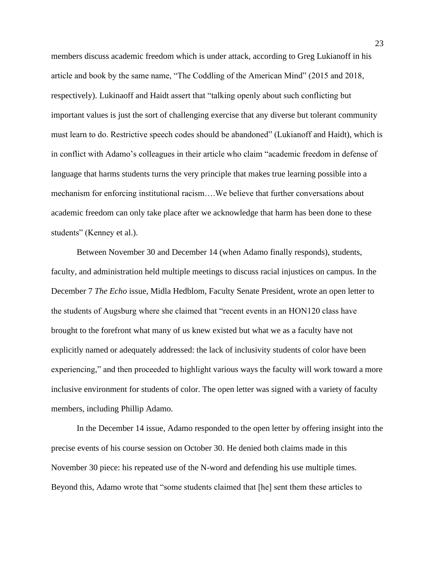members discuss academic freedom which is under attack, according to Greg Lukianoff in his article and book by the same name, "The Coddling of the American Mind" (2015 and 2018, respectively). Lukinaoff and Haidt assert that "talking openly about such conflicting but important values is just the sort of challenging exercise that any diverse but tolerant community must learn to do. Restrictive speech codes should be abandoned" (Lukianoff and Haidt), which is in conflict with Adamo's colleagues in their article who claim "academic freedom in defense of language that harms students turns the very principle that makes true learning possible into a mechanism for enforcing institutional racism….We believe that further conversations about academic freedom can only take place after we acknowledge that harm has been done to these students" (Kenney et al.).

Between November 30 and December 14 (when Adamo finally responds), students, faculty, and administration held multiple meetings to discuss racial injustices on campus. In the December 7 *The Echo* issue, Midla Hedblom, Faculty Senate President, wrote an open letter to the students of Augsburg where she claimed that "recent events in an HON120 class have brought to the forefront what many of us knew existed but what we as a faculty have not explicitly named or adequately addressed: the lack of inclusivity students of color have been experiencing," and then proceeded to highlight various ways the faculty will work toward a more inclusive environment for students of color. The open letter was signed with a variety of faculty members, including Phillip Adamo.

In the December 14 issue, Adamo responded to the open letter by offering insight into the precise events of his course session on October 30. He denied both claims made in this November 30 piece: his repeated use of the N-word and defending his use multiple times. Beyond this, Adamo wrote that "some students claimed that [he] sent them these articles to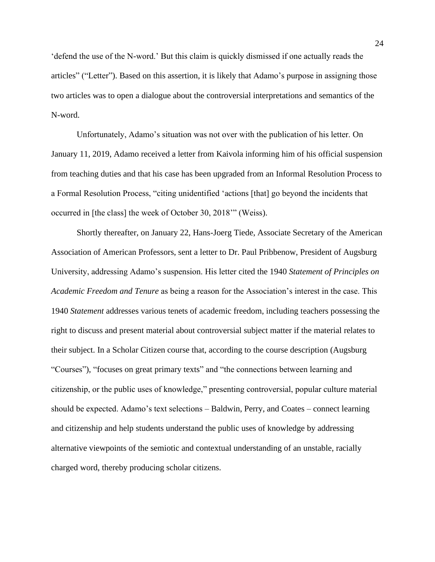'defend the use of the N-word.' But this claim is quickly dismissed if one actually reads the articles" ("Letter"). Based on this assertion, it is likely that Adamo's purpose in assigning those two articles was to open a dialogue about the controversial interpretations and semantics of the N-word.

Unfortunately, Adamo's situation was not over with the publication of his letter. On January 11, 2019, Adamo received a letter from Kaivola informing him of his official suspension from teaching duties and that his case has been upgraded from an Informal Resolution Process to a Formal Resolution Process, "citing unidentified 'actions [that] go beyond the incidents that occurred in [the class] the week of October 30, 2018'" (Weiss).

Shortly thereafter, on January 22, Hans-Joerg Tiede, Associate Secretary of the American Association of American Professors, sent a letter to Dr. Paul Pribbenow, President of Augsburg University, addressing Adamo's suspension. His letter cited the 1940 *Statement of Principles on Academic Freedom and Tenure* as being a reason for the Association's interest in the case. This 1940 *Statement* addresses various tenets of academic freedom, including teachers possessing the right to discuss and present material about controversial subject matter if the material relates to their subject. In a Scholar Citizen course that, according to the course description (Augsburg "Courses"), "focuses on great primary texts" and "the connections between learning and citizenship, or the public uses of knowledge," presenting controversial, popular culture material should be expected. Adamo's text selections – Baldwin, Perry, and Coates – connect learning and citizenship and help students understand the public uses of knowledge by addressing alternative viewpoints of the semiotic and contextual understanding of an unstable, racially charged word, thereby producing scholar citizens.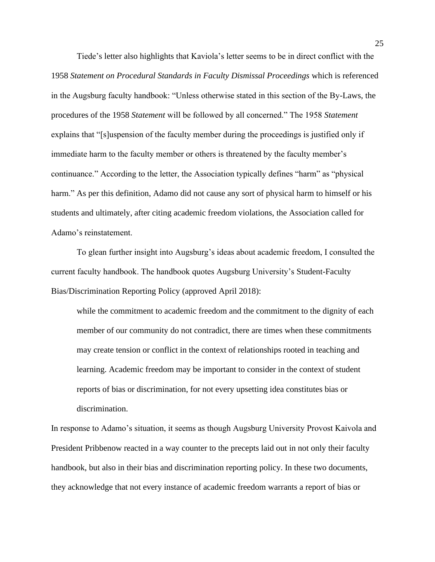Tiede's letter also highlights that Kaviola's letter seems to be in direct conflict with the 1958 *Statement on Procedural Standards in Faculty Dismissal Proceedings* which is referenced in the Augsburg faculty handbook: "Unless otherwise stated in this section of the By-Laws, the procedures of the 1958 *Statement* will be followed by all concerned." The 1958 *Statement* explains that "[s]uspension of the faculty member during the proceedings is justified only if immediate harm to the faculty member or others is threatened by the faculty member's continuance." According to the letter, the Association typically defines "harm" as "physical harm." As per this definition, Adamo did not cause any sort of physical harm to himself or his students and ultimately, after citing academic freedom violations, the Association called for Adamo's reinstatement.

To glean further insight into Augsburg's ideas about academic freedom, I consulted the current faculty handbook. The handbook quotes Augsburg University's Student-Faculty Bias/Discrimination Reporting Policy (approved April 2018):

while the commitment to academic freedom and the commitment to the dignity of each member of our community do not contradict, there are times when these commitments may create tension or conflict in the context of relationships rooted in teaching and learning. Academic freedom may be important to consider in the context of student reports of bias or discrimination, for not every upsetting idea constitutes bias or discrimination.

In response to Adamo's situation, it seems as though Augsburg University Provost Kaivola and President Pribbenow reacted in a way counter to the precepts laid out in not only their faculty handbook, but also in their bias and discrimination reporting policy. In these two documents, they acknowledge that not every instance of academic freedom warrants a report of bias or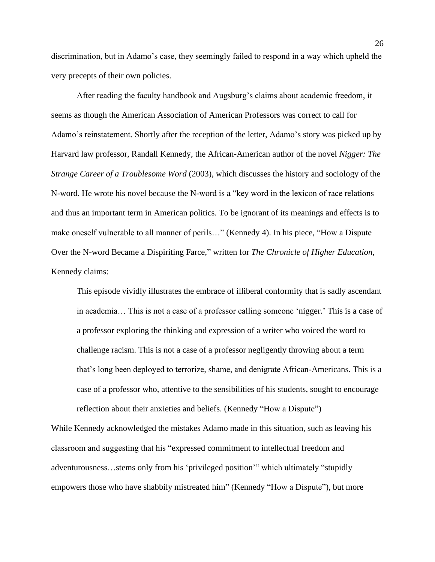discrimination, but in Adamo's case, they seemingly failed to respond in a way which upheld the very precepts of their own policies.

After reading the faculty handbook and Augsburg's claims about academic freedom, it seems as though the American Association of American Professors was correct to call for Adamo's reinstatement. Shortly after the reception of the letter, Adamo's story was picked up by Harvard law professor, Randall Kennedy, the African-American author of the novel *Nigger: The Strange Career of a Troublesome Word* (2003), which discusses the history and sociology of the N-word. He wrote his novel because the N-word is a "key word in the lexicon of race relations and thus an important term in American politics. To be ignorant of its meanings and effects is to make oneself vulnerable to all manner of perils…" (Kennedy 4). In his piece, "How a Dispute Over the N-word Became a Dispiriting Farce," written for *The Chronicle of Higher Education*, Kennedy claims:

This episode vividly illustrates the embrace of illiberal conformity that is sadly ascendant in academia… This is not a case of a professor calling someone 'nigger.' This is a case of a professor exploring the thinking and expression of a writer who voiced the word to challenge racism. This is not a case of a professor negligently throwing about a term that's long been deployed to terrorize, shame, and denigrate African-Americans. This is a case of a professor who, attentive to the sensibilities of his students, sought to encourage reflection about their anxieties and beliefs. (Kennedy "How a Dispute")

While Kennedy acknowledged the mistakes Adamo made in this situation, such as leaving his classroom and suggesting that his "expressed commitment to intellectual freedom and adventurousness…stems only from his 'privileged position'" which ultimately "stupidly empowers those who have shabbily mistreated him" (Kennedy "How a Dispute"), but more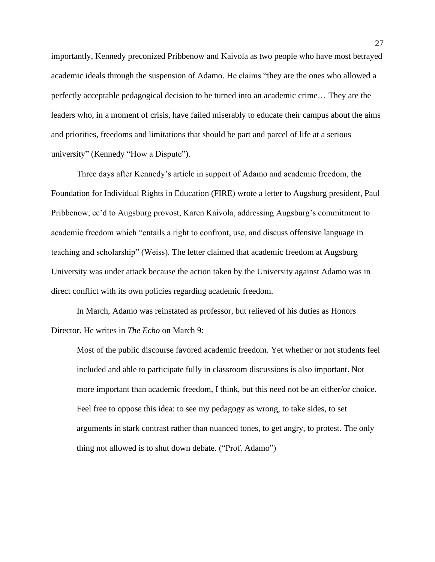importantly, Kennedy preconized Pribbenow and Kaivola as two people who have most betrayed academic ideals through the suspension of Adamo. He claims "they are the ones who allowed a perfectly acceptable pedagogical decision to be turned into an academic crime… They are the leaders who, in a moment of crisis, have failed miserably to educate their campus about the aims and priorities, freedoms and limitations that should be part and parcel of life at a serious university" (Kennedy "How a Dispute").

Three days after Kennedy's article in support of Adamo and academic freedom, the Foundation for Individual Rights in Education (FIRE) wrote a letter to Augsburg president, Paul Pribbenow, cc'd to Augsburg provost, Karen Kaivola, addressing Augsburg's commitment to academic freedom which "entails a right to confront, use, and discuss offensive language in teaching and scholarship" (Weiss). The letter claimed that academic freedom at Augsburg University was under attack because the action taken by the University against Adamo was in direct conflict with its own policies regarding academic freedom.

In March, Adamo was reinstated as professor, but relieved of his duties as Honors Director. He writes in *The Echo* on March 9:

Most of the public discourse favored academic freedom. Yet whether or not students feel included and able to participate fully in classroom discussions is also important. Not more important than academic freedom, I think, but this need not be an either/or choice. Feel free to oppose this idea: to see my pedagogy as wrong, to take sides, to set arguments in stark contrast rather than nuanced tones, to get angry, to protest. The only thing not allowed is to shut down debate. ("Prof. Adamo")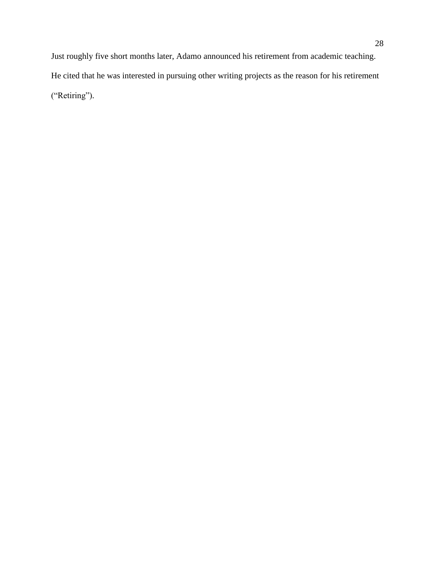Just roughly five short months later, Adamo announced his retirement from academic teaching. He cited that he was interested in pursuing other writing projects as the reason for his retirement ("Retiring").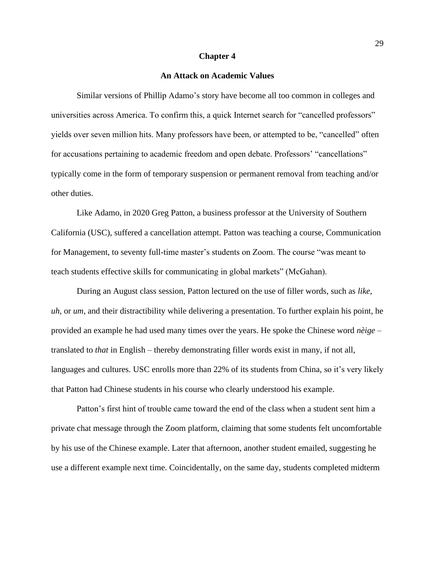#### **Chapter 4**

#### **An Attack on Academic Values**

Similar versions of Phillip Adamo's story have become all too common in colleges and universities across America. To confirm this, a quick Internet search for "cancelled professors" yields over seven million hits. Many professors have been, or attempted to be, "cancelled" often for accusations pertaining to academic freedom and open debate. Professors' "cancellations" typically come in the form of temporary suspension or permanent removal from teaching and/or other duties.

Like Adamo, in 2020 Greg Patton, a business professor at the University of Southern California (USC), suffered a cancellation attempt. Patton was teaching a course, Communication for Management, to seventy full-time master's students on Zoom. The course "was meant to teach students effective skills for communicating in global markets" (McGahan).

During an August class session, Patton lectured on the use of filler words, such as *like*, *uh*, or *um*, and their distractibility while delivering a presentation. To further explain his point, he provided an example he had used many times over the years. He spoke the Chinese word *nèige* – translated to *that* in English – thereby demonstrating filler words exist in many, if not all, languages and cultures. USC enrolls more than 22% of its students from China, so it's very likely that Patton had Chinese students in his course who clearly understood his example.

Patton's first hint of trouble came toward the end of the class when a student sent him a private chat message through the Zoom platform, claiming that some students felt uncomfortable by his use of the Chinese example. Later that afternoon, another student emailed, suggesting he use a different example next time. Coincidentally, on the same day, students completed midterm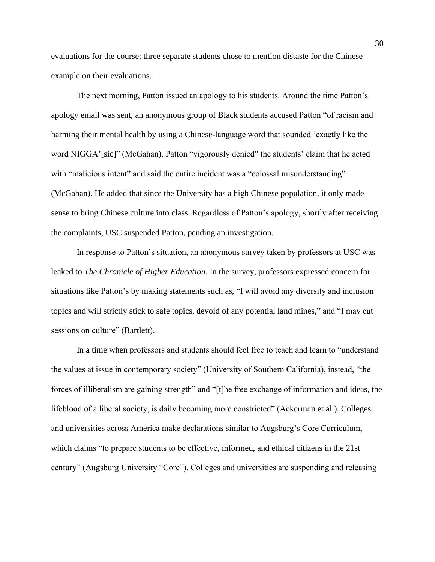evaluations for the course; three separate students chose to mention distaste for the Chinese example on their evaluations.

The next morning, Patton issued an apology to his students. Around the time Patton's apology email was sent, an anonymous group of Black students accused Patton "of racism and harming their mental health by using a Chinese-language word that sounded 'exactly like the word NIGGA'[sic]" (McGahan). Patton "vigorously denied" the students' claim that he acted with "malicious intent" and said the entire incident was a "colossal misunderstanding" (McGahan). He added that since the University has a high Chinese population, it only made sense to bring Chinese culture into class. Regardless of Patton's apology, shortly after receiving the complaints, USC suspended Patton, pending an investigation.

In response to Patton's situation, an anonymous survey taken by professors at USC was leaked to *The Chronicle of Higher Education*. In the survey, professors expressed concern for situations like Patton's by making statements such as, "I will avoid any diversity and inclusion topics and will strictly stick to safe topics, devoid of any potential land mines," and "I may cut sessions on culture" (Bartlett).

In a time when professors and students should feel free to teach and learn to "understand the values at issue in contemporary society" (University of Southern California), instead, "the forces of illiberalism are gaining strength" and "[t]he free exchange of information and ideas, the lifeblood of a liberal society, is daily becoming more constricted" (Ackerman et al.). Colleges and universities across America make declarations similar to Augsburg's Core Curriculum, which claims "to prepare students to be effective, informed, and ethical citizens in the 21st century" (Augsburg University "Core"). Colleges and universities are suspending and releasing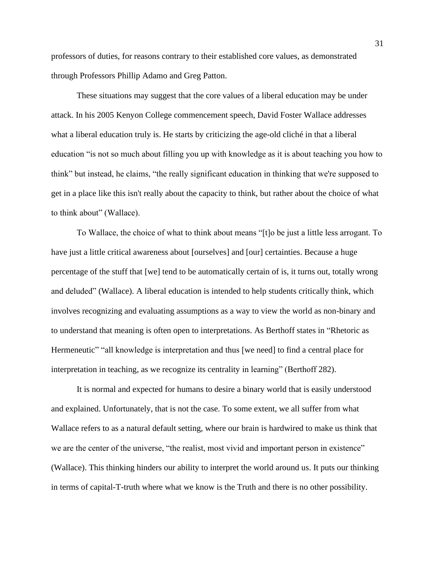professors of duties, for reasons contrary to their established core values, as demonstrated through Professors Phillip Adamo and Greg Patton.

These situations may suggest that the core values of a liberal education may be under attack. In his 2005 Kenyon College commencement speech, David Foster Wallace addresses what a liberal education truly is. He starts by criticizing the age-old cliché in that a liberal education "is not so much about filling you up with knowledge as it is about teaching you how to think" but instead, he claims, "the really significant education in thinking that we're supposed to get in a place like this isn't really about the capacity to think, but rather about the choice of what to think about" (Wallace).

To Wallace, the choice of what to think about means "[t]o be just a little less arrogant. To have just a little critical awareness about [ourselves] and [our] certainties. Because a huge percentage of the stuff that [we] tend to be automatically certain of is, it turns out, totally wrong and deluded" (Wallace). A liberal education is intended to help students critically think, which involves recognizing and evaluating assumptions as a way to view the world as non-binary and to understand that meaning is often open to interpretations. As Berthoff states in "Rhetoric as Hermeneutic" "all knowledge is interpretation and thus [we need] to find a central place for interpretation in teaching, as we recognize its centrality in learning" (Berthoff 282).

It is normal and expected for humans to desire a binary world that is easily understood and explained. Unfortunately, that is not the case. To some extent, we all suffer from what Wallace refers to as a natural default setting, where our brain is hardwired to make us think that we are the center of the universe, "the realist, most vivid and important person in existence" (Wallace). This thinking hinders our ability to interpret the world around us. It puts our thinking in terms of capital-T-truth where what we know is the Truth and there is no other possibility.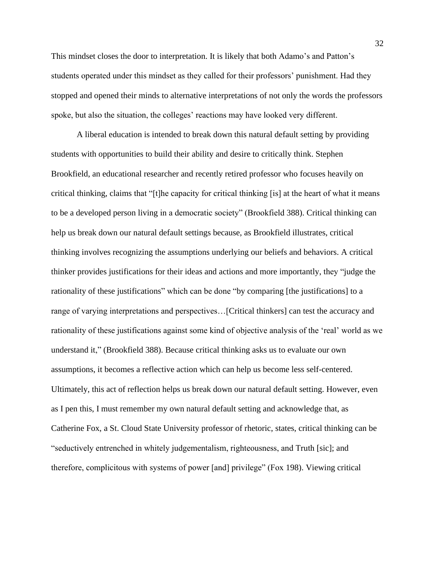This mindset closes the door to interpretation. It is likely that both Adamo's and Patton's students operated under this mindset as they called for their professors' punishment. Had they stopped and opened their minds to alternative interpretations of not only the words the professors spoke, but also the situation, the colleges' reactions may have looked very different.

A liberal education is intended to break down this natural default setting by providing students with opportunities to build their ability and desire to critically think. Stephen Brookfield, an educational researcher and recently retired professor who focuses heavily on critical thinking, claims that "[t]he capacity for critical thinking [is] at the heart of what it means to be a developed person living in a democratic society" (Brookfield 388). Critical thinking can help us break down our natural default settings because, as Brookfield illustrates, critical thinking involves recognizing the assumptions underlying our beliefs and behaviors. A critical thinker provides justifications for their ideas and actions and more importantly, they "judge the rationality of these justifications" which can be done "by comparing [the justifications] to a range of varying interpretations and perspectives…[Critical thinkers] can test the accuracy and rationality of these justifications against some kind of objective analysis of the 'real' world as we understand it," (Brookfield 388). Because critical thinking asks us to evaluate our own assumptions, it becomes a reflective action which can help us become less self-centered. Ultimately, this act of reflection helps us break down our natural default setting. However, even as I pen this, I must remember my own natural default setting and acknowledge that, as Catherine Fox, a St. Cloud State University professor of rhetoric, states, critical thinking can be "seductively entrenched in whitely judgementalism, righteousness, and Truth [sic]; and therefore, complicitous with systems of power [and] privilege" (Fox 198). Viewing critical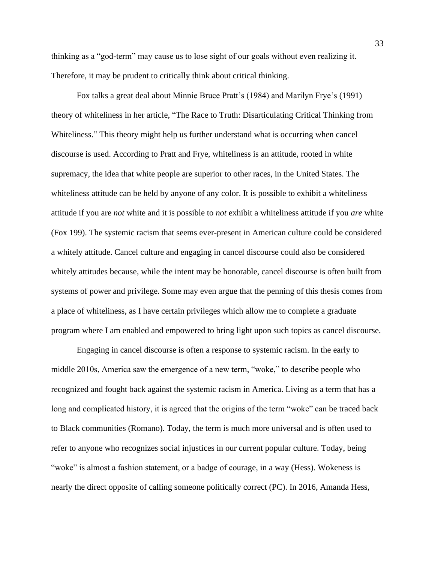thinking as a "god-term" may cause us to lose sight of our goals without even realizing it. Therefore, it may be prudent to critically think about critical thinking.

Fox talks a great deal about Minnie Bruce Pratt's (1984) and Marilyn Frye's (1991) theory of whiteliness in her article, "The Race to Truth: Disarticulating Critical Thinking from Whiteliness." This theory might help us further understand what is occurring when cancel discourse is used. According to Pratt and Frye, whiteliness is an attitude, rooted in white supremacy, the idea that white people are superior to other races, in the United States. The whiteliness attitude can be held by anyone of any color. It is possible to exhibit a whiteliness attitude if you are *not* white and it is possible to *not* exhibit a whiteliness attitude if you *are* white (Fox 199). The systemic racism that seems ever-present in American culture could be considered a whitely attitude. Cancel culture and engaging in cancel discourse could also be considered whitely attitudes because, while the intent may be honorable, cancel discourse is often built from systems of power and privilege. Some may even argue that the penning of this thesis comes from a place of whiteliness, as I have certain privileges which allow me to complete a graduate program where I am enabled and empowered to bring light upon such topics as cancel discourse.

Engaging in cancel discourse is often a response to systemic racism. In the early to middle 2010s, America saw the emergence of a new term, "woke," to describe people who recognized and fought back against the systemic racism in America. Living as a term that has a long and complicated history, it is agreed that the origins of the term "woke" can be traced back to Black communities (Romano). Today, the term is much more universal and is often used to refer to anyone who recognizes social injustices in our current popular culture. Today, being "woke" is almost a fashion statement, or a badge of courage, in a way (Hess). Wokeness is nearly the direct opposite of calling someone politically correct (PC). In 2016, Amanda Hess,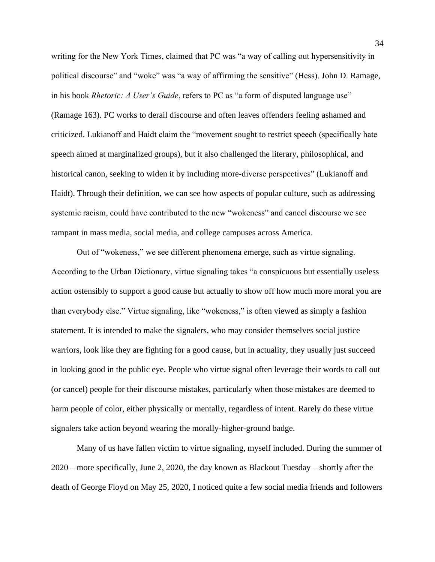writing for the New York Times, claimed that PC was "a way of calling out hypersensitivity in political discourse" and "woke" was "a way of affirming the sensitive" (Hess). John D. Ramage, in his book *Rhetoric: A User's Guide*, refers to PC as "a form of disputed language use" (Ramage 163). PC works to derail discourse and often leaves offenders feeling ashamed and criticized. Lukianoff and Haidt claim the "movement sought to restrict speech (specifically hate speech aimed at marginalized groups), but it also challenged the literary, philosophical, and historical canon, seeking to widen it by including more-diverse perspectives" (Lukianoff and Haidt). Through their definition, we can see how aspects of popular culture, such as addressing systemic racism, could have contributed to the new "wokeness" and cancel discourse we see rampant in mass media, social media, and college campuses across America.

Out of "wokeness," we see different phenomena emerge, such as virtue signaling. According to the Urban Dictionary, virtue signaling takes "a conspicuous but essentially useless action ostensibly to support a good cause but actually to show off how much more moral you are than everybody else." Virtue signaling, like "wokeness," is often viewed as simply a fashion statement. It is intended to make the signalers, who may consider themselves social justice warriors, look like they are fighting for a good cause, but in actuality, they usually just succeed in looking good in the public eye. People who virtue signal often leverage their words to call out (or cancel) people for their discourse mistakes, particularly when those mistakes are deemed to harm people of color, either physically or mentally, regardless of intent. Rarely do these virtue signalers take action beyond wearing the morally-higher-ground badge.

Many of us have fallen victim to virtue signaling, myself included. During the summer of 2020 – more specifically, June 2, 2020, the day known as Blackout Tuesday – shortly after the death of George Floyd on May 25, 2020, I noticed quite a few social media friends and followers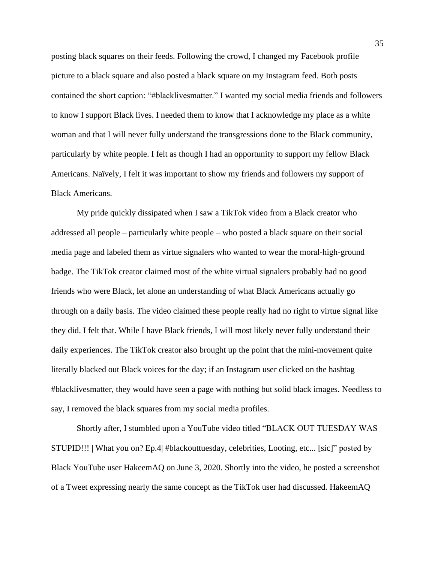posting black squares on their feeds. Following the crowd, I changed my Facebook profile picture to a black square and also posted a black square on my Instagram feed. Both posts contained the short caption: "#blacklivesmatter." I wanted my social media friends and followers to know I support Black lives. I needed them to know that I acknowledge my place as a white woman and that I will never fully understand the transgressions done to the Black community, particularly by white people. I felt as though I had an opportunity to support my fellow Black Americans. Naïvely, I felt it was important to show my friends and followers my support of Black Americans.

My pride quickly dissipated when I saw a TikTok video from a Black creator who addressed all people – particularly white people – who posted a black square on their social media page and labeled them as virtue signalers who wanted to wear the moral-high-ground badge. The TikTok creator claimed most of the white virtual signalers probably had no good friends who were Black, let alone an understanding of what Black Americans actually go through on a daily basis. The video claimed these people really had no right to virtue signal like they did. I felt that. While I have Black friends, I will most likely never fully understand their daily experiences. The TikTok creator also brought up the point that the mini-movement quite literally blacked out Black voices for the day; if an Instagram user clicked on the hashtag #blacklivesmatter, they would have seen a page with nothing but solid black images. Needless to say, I removed the black squares from my social media profiles.

Shortly after, I stumbled upon a YouTube video titled "BLACK OUT TUESDAY WAS STUPID!!! | What you on? Ep.4| #blackouttuesday, celebrities, Looting, etc... [sic]" posted by Black YouTube user HakeemAQ on June 3, 2020. Shortly into the video, he posted a screenshot of a Tweet expressing nearly the same concept as the TikTok user had discussed. HakeemAQ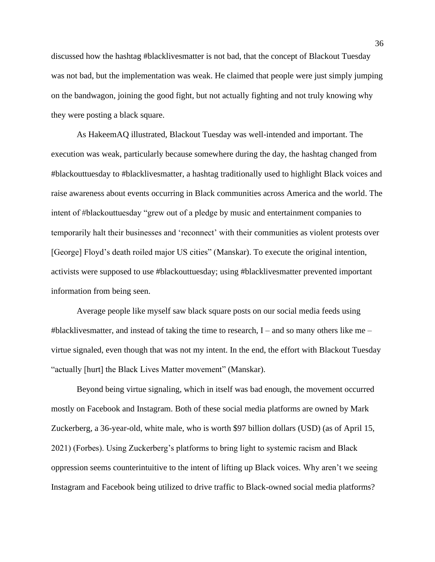discussed how the hashtag #blacklivesmatter is not bad, that the concept of Blackout Tuesday was not bad, but the implementation was weak. He claimed that people were just simply jumping on the bandwagon, joining the good fight, but not actually fighting and not truly knowing why they were posting a black square.

As HakeemAQ illustrated, Blackout Tuesday was well-intended and important. The execution was weak, particularly because somewhere during the day, the hashtag changed from #blackouttuesday to #blacklivesmatter, a hashtag traditionally used to highlight Black voices and raise awareness about events occurring in Black communities across America and the world. The intent of #blackouttuesday "grew out of a pledge by music and entertainment companies to temporarily halt their businesses and 'reconnect' with their communities as violent protests over [George] Floyd's death roiled major US cities" (Manskar). To execute the original intention, activists were supposed to use #blackouttuesday; using #blacklivesmatter prevented important information from being seen.

Average people like myself saw black square posts on our social media feeds using #blacklivesmatter, and instead of taking the time to research,  $I$  – and so many others like me – virtue signaled, even though that was not my intent. In the end, the effort with Blackout Tuesday "actually [hurt] the Black Lives Matter movement" (Manskar).

Beyond being virtue signaling, which in itself was bad enough, the movement occurred mostly on Facebook and Instagram. Both of these social media platforms are owned by Mark Zuckerberg, a 36-year-old, white male, who is worth \$97 billion dollars (USD) (as of April 15, 2021) (Forbes). Using Zuckerberg's platforms to bring light to systemic racism and Black oppression seems counterintuitive to the intent of lifting up Black voices. Why aren't we seeing Instagram and Facebook being utilized to drive traffic to Black-owned social media platforms?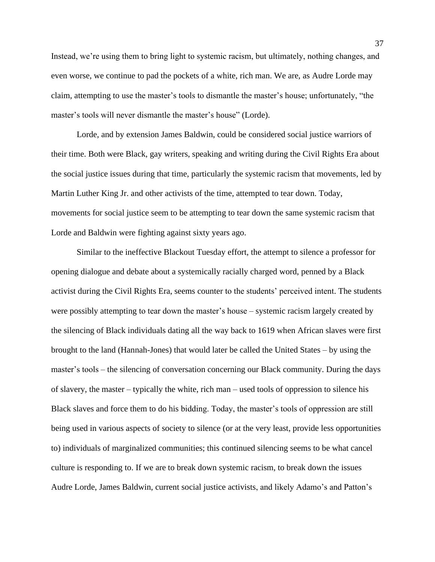Instead, we're using them to bring light to systemic racism, but ultimately, nothing changes, and even worse, we continue to pad the pockets of a white, rich man. We are, as Audre Lorde may claim, attempting to use the master's tools to dismantle the master's house; unfortunately, "the master's tools will never dismantle the master's house" (Lorde).

Lorde, and by extension James Baldwin, could be considered social justice warriors of their time. Both were Black, gay writers, speaking and writing during the Civil Rights Era about the social justice issues during that time, particularly the systemic racism that movements, led by Martin Luther King Jr. and other activists of the time, attempted to tear down. Today, movements for social justice seem to be attempting to tear down the same systemic racism that Lorde and Baldwin were fighting against sixty years ago.

Similar to the ineffective Blackout Tuesday effort, the attempt to silence a professor for opening dialogue and debate about a systemically racially charged word, penned by a Black activist during the Civil Rights Era, seems counter to the students' perceived intent. The students were possibly attempting to tear down the master's house – systemic racism largely created by the silencing of Black individuals dating all the way back to 1619 when African slaves were first brought to the land (Hannah-Jones) that would later be called the United States – by using the master's tools – the silencing of conversation concerning our Black community. During the days of slavery, the master – typically the white, rich man – used tools of oppression to silence his Black slaves and force them to do his bidding. Today, the master's tools of oppression are still being used in various aspects of society to silence (or at the very least, provide less opportunities to) individuals of marginalized communities; this continued silencing seems to be what cancel culture is responding to. If we are to break down systemic racism, to break down the issues Audre Lorde, James Baldwin, current social justice activists, and likely Adamo's and Patton's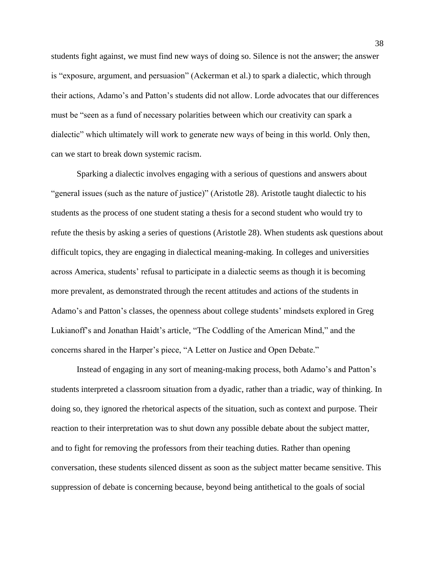students fight against, we must find new ways of doing so. Silence is not the answer; the answer is "exposure, argument, and persuasion" (Ackerman et al.) to spark a dialectic, which through their actions, Adamo's and Patton's students did not allow. Lorde advocates that our differences must be "seen as a fund of necessary polarities between which our creativity can spark a dialectic" which ultimately will work to generate new ways of being in this world. Only then, can we start to break down systemic racism.

Sparking a dialectic involves engaging with a serious of questions and answers about "general issues (such as the nature of justice)" (Aristotle 28). Aristotle taught dialectic to his students as the process of one student stating a thesis for a second student who would try to refute the thesis by asking a series of questions (Aristotle 28). When students ask questions about difficult topics, they are engaging in dialectical meaning-making. In colleges and universities across America, students' refusal to participate in a dialectic seems as though it is becoming more prevalent, as demonstrated through the recent attitudes and actions of the students in Adamo's and Patton's classes, the openness about college students' mindsets explored in Greg Lukianoff's and Jonathan Haidt's article, "The Coddling of the American Mind," and the concerns shared in the Harper's piece, "A Letter on Justice and Open Debate."

Instead of engaging in any sort of meaning-making process, both Adamo's and Patton's students interpreted a classroom situation from a dyadic, rather than a triadic, way of thinking. In doing so, they ignored the rhetorical aspects of the situation, such as context and purpose. Their reaction to their interpretation was to shut down any possible debate about the subject matter, and to fight for removing the professors from their teaching duties. Rather than opening conversation, these students silenced dissent as soon as the subject matter became sensitive. This suppression of debate is concerning because, beyond being antithetical to the goals of social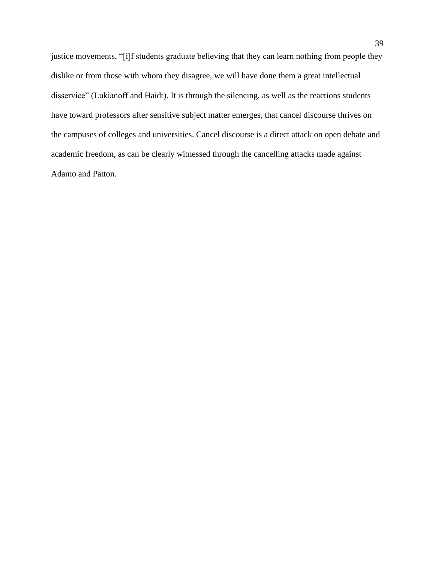justice movements, "[i]f students graduate believing that they can learn nothing from people they dislike or from those with whom they disagree, we will have done them a great intellectual disservice" (Lukianoff and Haidt). It is through the silencing, as well as the reactions students have toward professors after sensitive subject matter emerges, that cancel discourse thrives on the campuses of colleges and universities. Cancel discourse is a direct attack on open debate and academic freedom, as can be clearly witnessed through the cancelling attacks made against Adamo and Patton.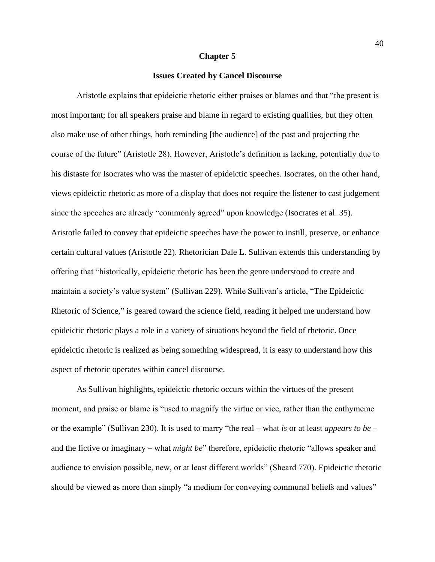#### **Chapter 5**

# **Issues Created by Cancel Discourse**

Aristotle explains that epideictic rhetoric either praises or blames and that "the present is most important; for all speakers praise and blame in regard to existing qualities, but they often also make use of other things, both reminding [the audience] of the past and projecting the course of the future" (Aristotle 28). However, Aristotle's definition is lacking, potentially due to his distaste for Isocrates who was the master of epideictic speeches. Isocrates, on the other hand, views epideictic rhetoric as more of a display that does not require the listener to cast judgement since the speeches are already "commonly agreed" upon knowledge (Isocrates et al. 35). Aristotle failed to convey that epideictic speeches have the power to instill, preserve, or enhance certain cultural values (Aristotle 22). Rhetorician Dale L. Sullivan extends this understanding by offering that "historically, epideictic rhetoric has been the genre understood to create and maintain a society's value system" (Sullivan 229). While Sullivan's article, "The Epideictic Rhetoric of Science," is geared toward the science field, reading it helped me understand how epideictic rhetoric plays a role in a variety of situations beyond the field of rhetoric. Once epideictic rhetoric is realized as being something widespread, it is easy to understand how this aspect of rhetoric operates within cancel discourse.

As Sullivan highlights, epideictic rhetoric occurs within the virtues of the present moment, and praise or blame is "used to magnify the virtue or vice, rather than the enthymeme or the example" (Sullivan 230). It is used to marry "the real – what *is* or at least *appears to be* – and the fictive or imaginary – what *might be*" therefore, epideictic rhetoric "allows speaker and audience to envision possible, new, or at least different worlds" (Sheard 770). Epideictic rhetoric should be viewed as more than simply "a medium for conveying communal beliefs and values"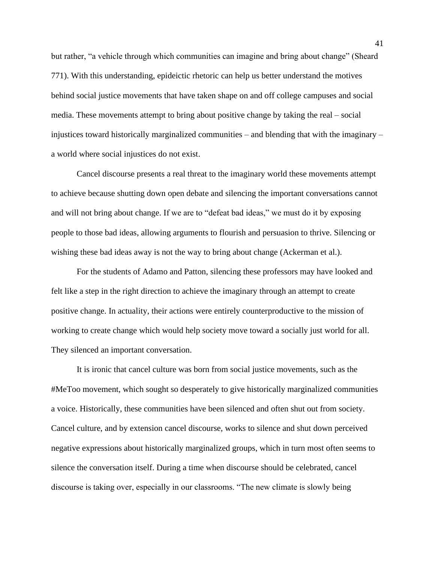but rather, "a vehicle through which communities can imagine and bring about change" (Sheard 771). With this understanding, epideictic rhetoric can help us better understand the motives behind social justice movements that have taken shape on and off college campuses and social media. These movements attempt to bring about positive change by taking the real – social injustices toward historically marginalized communities – and blending that with the imaginary – a world where social injustices do not exist.

Cancel discourse presents a real threat to the imaginary world these movements attempt to achieve because shutting down open debate and silencing the important conversations cannot and will not bring about change. If we are to "defeat bad ideas," we must do it by exposing people to those bad ideas, allowing arguments to flourish and persuasion to thrive. Silencing or wishing these bad ideas away is not the way to bring about change (Ackerman et al.).

For the students of Adamo and Patton, silencing these professors may have looked and felt like a step in the right direction to achieve the imaginary through an attempt to create positive change. In actuality, their actions were entirely counterproductive to the mission of working to create change which would help society move toward a socially just world for all. They silenced an important conversation.

It is ironic that cancel culture was born from social justice movements, such as the #MeToo movement, which sought so desperately to give historically marginalized communities a voice. Historically, these communities have been silenced and often shut out from society. Cancel culture, and by extension cancel discourse, works to silence and shut down perceived negative expressions about historically marginalized groups, which in turn most often seems to silence the conversation itself. During a time when discourse should be celebrated, cancel discourse is taking over, especially in our classrooms. "The new climate is slowly being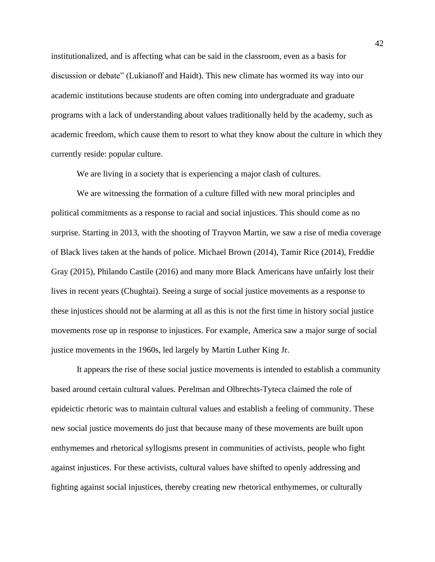institutionalized, and is affecting what can be said in the classroom, even as a basis for discussion or debate" (Lukianoff and Haidt). This new climate has wormed its way into our academic institutions because students are often coming into undergraduate and graduate programs with a lack of understanding about values traditionally held by the academy, such as academic freedom, which cause them to resort to what they know about the culture in which they currently reside: popular culture.

We are living in a society that is experiencing a major clash of cultures.

We are witnessing the formation of a culture filled with new moral principles and political commitments as a response to racial and social injustices. This should come as no surprise. Starting in 2013, with the shooting of Trayvon Martin, we saw a rise of media coverage of Black lives taken at the hands of police. Michael Brown (2014), Tamir Rice (2014), Freddie Gray (2015), Philando Castile (2016) and many more Black Americans have unfairly lost their lives in recent years (Chughtai). Seeing a surge of social justice movements as a response to these injustices should not be alarming at all as this is not the first time in history social justice movements rose up in response to injustices. For example, America saw a major surge of social justice movements in the 1960s, led largely by Martin Luther King Jr.

It appears the rise of these social justice movements is intended to establish a community based around certain cultural values. Perelman and Olbrechts-Tyteca claimed the role of epideictic rhetoric was to maintain cultural values and establish a feeling of community. These new social justice movements do just that because many of these movements are built upon enthymemes and rhetorical syllogisms present in communities of activists, people who fight against injustices. For these activists, cultural values have shifted to openly addressing and fighting against social injustices, thereby creating new rhetorical enthymemes, or culturally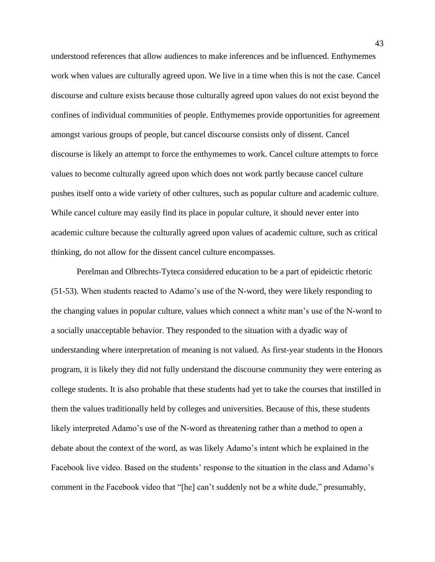understood references that allow audiences to make inferences and be influenced. Enthymemes work when values are culturally agreed upon. We live in a time when this is not the case. Cancel discourse and culture exists because those culturally agreed upon values do not exist beyond the confines of individual communities of people. Enthymemes provide opportunities for agreement amongst various groups of people, but cancel discourse consists only of dissent. Cancel discourse is likely an attempt to force the enthymemes to work. Cancel culture attempts to force values to become culturally agreed upon which does not work partly because cancel culture pushes itself onto a wide variety of other cultures, such as popular culture and academic culture. While cancel culture may easily find its place in popular culture, it should never enter into academic culture because the culturally agreed upon values of academic culture, such as critical thinking, do not allow for the dissent cancel culture encompasses.

Perelman and Olbrechts-Tyteca considered education to be a part of epideictic rhetoric (51-53). When students reacted to Adamo's use of the N-word, they were likely responding to the changing values in popular culture, values which connect a white man's use of the N-word to a socially unacceptable behavior. They responded to the situation with a dyadic way of understanding where interpretation of meaning is not valued. As first-year students in the Honors program, it is likely they did not fully understand the discourse community they were entering as college students. It is also probable that these students had yet to take the courses that instilled in them the values traditionally held by colleges and universities. Because of this, these students likely interpreted Adamo's use of the N-word as threatening rather than a method to open a debate about the context of the word, as was likely Adamo's intent which he explained in the Facebook live video. Based on the students' response to the situation in the class and Adamo's comment in the Facebook video that "[he] can't suddenly not be a white dude," presumably,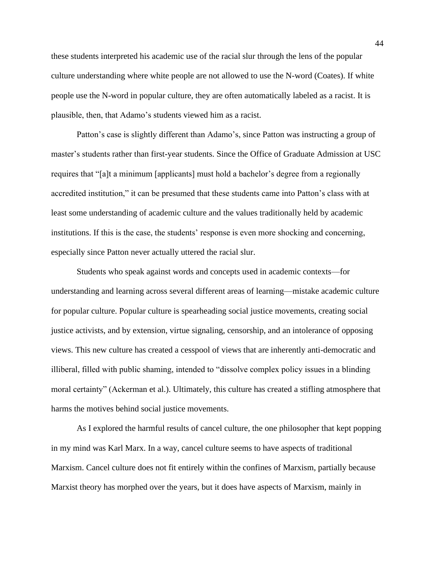these students interpreted his academic use of the racial slur through the lens of the popular culture understanding where white people are not allowed to use the N-word (Coates). If white people use the N-word in popular culture, they are often automatically labeled as a racist. It is plausible, then, that Adamo's students viewed him as a racist.

Patton's case is slightly different than Adamo's, since Patton was instructing a group of master's students rather than first-year students. Since the Office of Graduate Admission at USC requires that "[a]t a minimum [applicants] must hold a bachelor's degree from a regionally accredited institution," it can be presumed that these students came into Patton's class with at least some understanding of academic culture and the values traditionally held by academic institutions. If this is the case, the students' response is even more shocking and concerning, especially since Patton never actually uttered the racial slur.

Students who speak against words and concepts used in academic contexts—for understanding and learning across several different areas of learning—mistake academic culture for popular culture. Popular culture is spearheading social justice movements, creating social justice activists, and by extension, virtue signaling, censorship, and an intolerance of opposing views. This new culture has created a cesspool of views that are inherently anti-democratic and illiberal, filled with public shaming, intended to "dissolve complex policy issues in a blinding moral certainty" (Ackerman et al.). Ultimately, this culture has created a stifling atmosphere that harms the motives behind social justice movements.

As I explored the harmful results of cancel culture, the one philosopher that kept popping in my mind was Karl Marx. In a way, cancel culture seems to have aspects of traditional Marxism. Cancel culture does not fit entirely within the confines of Marxism, partially because Marxist theory has morphed over the years, but it does have aspects of Marxism, mainly in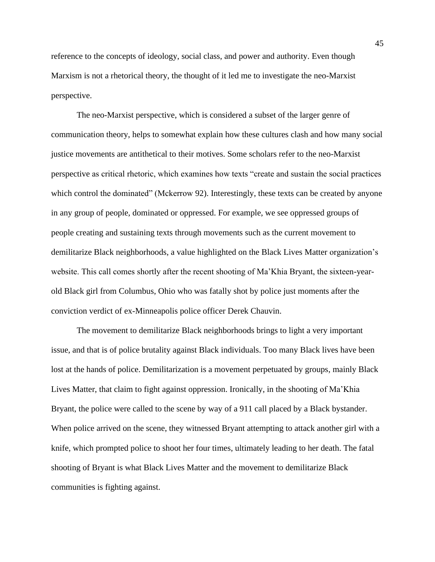reference to the concepts of ideology, social class, and power and authority. Even though Marxism is not a rhetorical theory, the thought of it led me to investigate the neo-Marxist perspective.

The neo-Marxist perspective, which is considered a subset of the larger genre of communication theory, helps to somewhat explain how these cultures clash and how many social justice movements are antithetical to their motives. Some scholars refer to the neo-Marxist perspective as critical rhetoric, which examines how texts "create and sustain the social practices which control the dominated" (Mckerrow 92). Interestingly, these texts can be created by anyone in any group of people, dominated or oppressed. For example, we see oppressed groups of people creating and sustaining texts through movements such as the current movement to demilitarize Black neighborhoods, a value highlighted on the Black Lives Matter organization's website. This call comes shortly after the recent shooting of Ma'Khia Bryant, the sixteen-yearold Black girl from Columbus, Ohio who was fatally shot by police just moments after the conviction verdict of ex-Minneapolis police officer Derek Chauvin.

The movement to demilitarize Black neighborhoods brings to light a very important issue, and that is of police brutality against Black individuals. Too many Black lives have been lost at the hands of police. Demilitarization is a movement perpetuated by groups, mainly Black Lives Matter, that claim to fight against oppression. Ironically, in the shooting of Ma'Khia Bryant, the police were called to the scene by way of a 911 call placed by a Black bystander. When police arrived on the scene, they witnessed Bryant attempting to attack another girl with a knife, which prompted police to shoot her four times, ultimately leading to her death. The fatal shooting of Bryant is what Black Lives Matter and the movement to demilitarize Black communities is fighting against.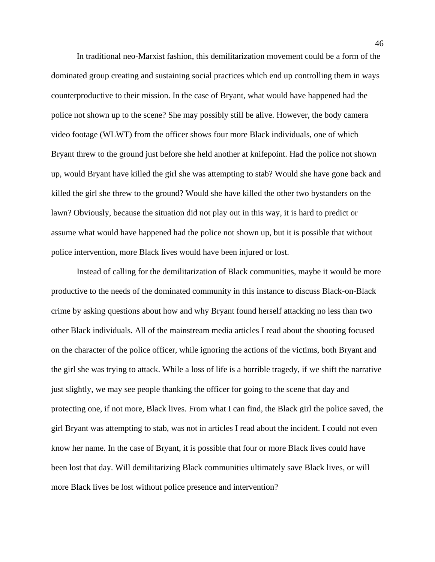In traditional neo-Marxist fashion, this demilitarization movement could be a form of the dominated group creating and sustaining social practices which end up controlling them in ways counterproductive to their mission. In the case of Bryant, what would have happened had the police not shown up to the scene? She may possibly still be alive. However, the body camera video footage (WLWT) from the officer shows four more Black individuals, one of which Bryant threw to the ground just before she held another at knifepoint. Had the police not shown up, would Bryant have killed the girl she was attempting to stab? Would she have gone back and killed the girl she threw to the ground? Would she have killed the other two bystanders on the lawn? Obviously, because the situation did not play out in this way, it is hard to predict or assume what would have happened had the police not shown up, but it is possible that without police intervention, more Black lives would have been injured or lost.

Instead of calling for the demilitarization of Black communities, maybe it would be more productive to the needs of the dominated community in this instance to discuss Black-on-Black crime by asking questions about how and why Bryant found herself attacking no less than two other Black individuals. All of the mainstream media articles I read about the shooting focused on the character of the police officer, while ignoring the actions of the victims, both Bryant and the girl she was trying to attack. While a loss of life is a horrible tragedy, if we shift the narrative just slightly, we may see people thanking the officer for going to the scene that day and protecting one, if not more, Black lives. From what I can find, the Black girl the police saved, the girl Bryant was attempting to stab, was not in articles I read about the incident. I could not even know her name. In the case of Bryant, it is possible that four or more Black lives could have been lost that day. Will demilitarizing Black communities ultimately save Black lives, or will more Black lives be lost without police presence and intervention?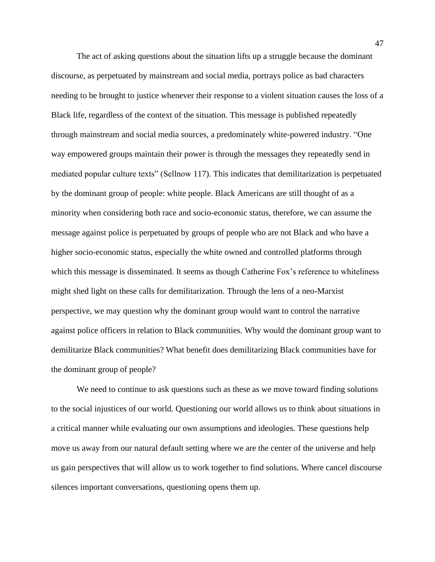The act of asking questions about the situation lifts up a struggle because the dominant discourse, as perpetuated by mainstream and social media, portrays police as bad characters needing to be brought to justice whenever their response to a violent situation causes the loss of a Black life, regardless of the context of the situation. This message is published repeatedly through mainstream and social media sources, a predominately white-powered industry. "One way empowered groups maintain their power is through the messages they repeatedly send in mediated popular culture texts" (Sellnow 117). This indicates that demilitarization is perpetuated by the dominant group of people: white people. Black Americans are still thought of as a minority when considering both race and socio-economic status, therefore, we can assume the message against police is perpetuated by groups of people who are not Black and who have a higher socio-economic status, especially the white owned and controlled platforms through which this message is disseminated. It seems as though Catherine Fox's reference to whiteliness might shed light on these calls for demilitarization. Through the lens of a neo-Marxist perspective, we may question why the dominant group would want to control the narrative against police officers in relation to Black communities. Why would the dominant group want to demilitarize Black communities? What benefit does demilitarizing Black communities have for the dominant group of people?

We need to continue to ask questions such as these as we move toward finding solutions to the social injustices of our world. Questioning our world allows us to think about situations in a critical manner while evaluating our own assumptions and ideologies. These questions help move us away from our natural default setting where we are the center of the universe and help us gain perspectives that will allow us to work together to find solutions. Where cancel discourse silences important conversations, questioning opens them up.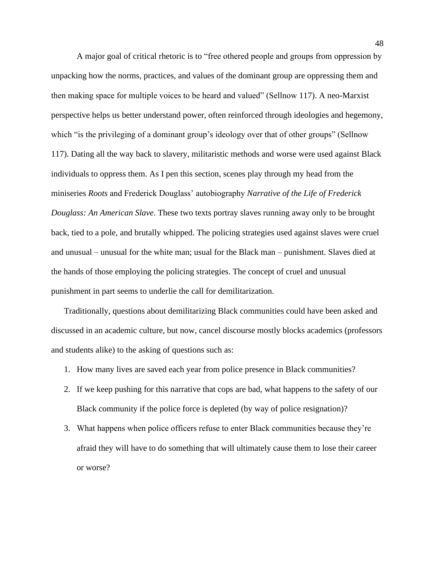A major goal of critical rhetoric is to "free othered people and groups from oppression by unpacking how the norms, practices, and values of the dominant group are oppressing them and then making space for multiple voices to be heard and valued" (Sellnow 117). A neo-Marxist perspective helps us better understand power, often reinforced through ideologies and hegemony, which "is the privileging of a dominant group's ideology over that of other groups" (Sellnow 117). Dating all the way back to slavery, militaristic methods and worse were used against Black individuals to oppress them. As I pen this section, scenes play through my head from the miniseries *Roots* and Frederick Douglass' autobiography *Narrative of the Life of Frederick Douglass: An American Slave*. These two texts portray slaves running away only to be brought back, tied to a pole, and brutally whipped. The policing strategies used against slaves were cruel and unusual – unusual for the white man; usual for the Black man – punishment. Slaves died at the hands of those employing the policing strategies. The concept of cruel and unusual punishment in part seems to underlie the call for demilitarization.

Traditionally, questions about demilitarizing Black communities could have been asked and discussed in an academic culture, but now, cancel discourse mostly blocks academics (professors and students alike) to the asking of questions such as:

- 1. How many lives are saved each year from police presence in Black communities?
- 2. If we keep pushing for this narrative that cops are bad, what happens to the safety of our Black community if the police force is depleted (by way of police resignation)?
- 3. What happens when police officers refuse to enter Black communities because they're afraid they will have to do something that will ultimately cause them to lose their career or worse?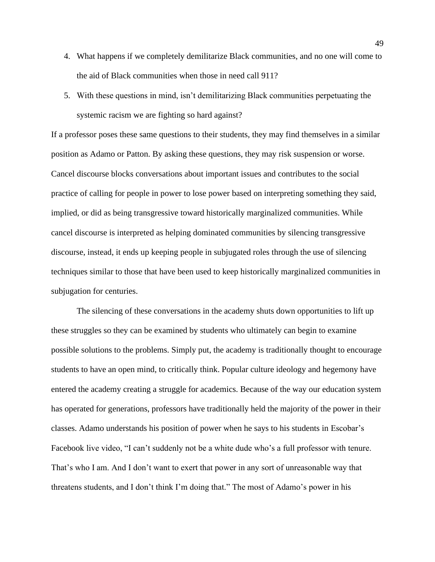- 4. What happens if we completely demilitarize Black communities, and no one will come to the aid of Black communities when those in need call 911?
- 5. With these questions in mind, isn't demilitarizing Black communities perpetuating the systemic racism we are fighting so hard against?

If a professor poses these same questions to their students, they may find themselves in a similar position as Adamo or Patton. By asking these questions, they may risk suspension or worse. Cancel discourse blocks conversations about important issues and contributes to the social practice of calling for people in power to lose power based on interpreting something they said, implied, or did as being transgressive toward historically marginalized communities. While cancel discourse is interpreted as helping dominated communities by silencing transgressive discourse, instead, it ends up keeping people in subjugated roles through the use of silencing techniques similar to those that have been used to keep historically marginalized communities in subjugation for centuries.

The silencing of these conversations in the academy shuts down opportunities to lift up these struggles so they can be examined by students who ultimately can begin to examine possible solutions to the problems. Simply put, the academy is traditionally thought to encourage students to have an open mind, to critically think. Popular culture ideology and hegemony have entered the academy creating a struggle for academics. Because of the way our education system has operated for generations, professors have traditionally held the majority of the power in their classes. Adamo understands his position of power when he says to his students in Escobar's Facebook live video, "I can't suddenly not be a white dude who's a full professor with tenure. That's who I am. And I don't want to exert that power in any sort of unreasonable way that threatens students, and I don't think I'm doing that." The most of Adamo's power in his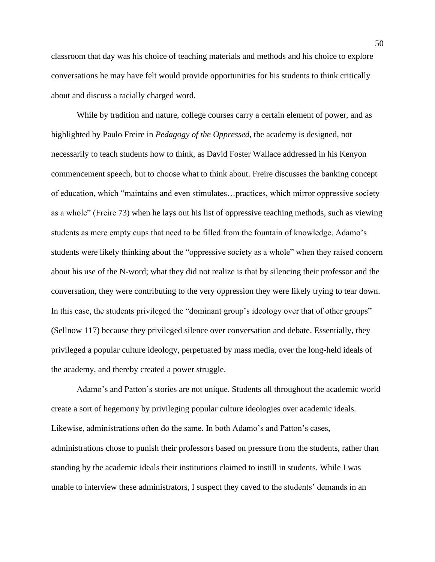classroom that day was his choice of teaching materials and methods and his choice to explore conversations he may have felt would provide opportunities for his students to think critically about and discuss a racially charged word.

While by tradition and nature, college courses carry a certain element of power, and as highlighted by Paulo Freire in *Pedagogy of the Oppressed*, the academy is designed, not necessarily to teach students how to think, as David Foster Wallace addressed in his Kenyon commencement speech, but to choose what to think about. Freire discusses the banking concept of education, which "maintains and even stimulates…practices, which mirror oppressive society as a whole" (Freire 73) when he lays out his list of oppressive teaching methods, such as viewing students as mere empty cups that need to be filled from the fountain of knowledge. Adamo's students were likely thinking about the "oppressive society as a whole" when they raised concern about his use of the N-word; what they did not realize is that by silencing their professor and the conversation, they were contributing to the very oppression they were likely trying to tear down. In this case, the students privileged the "dominant group's ideology over that of other groups" (Sellnow 117) because they privileged silence over conversation and debate. Essentially, they privileged a popular culture ideology, perpetuated by mass media, over the long-held ideals of the academy, and thereby created a power struggle.

Adamo's and Patton's stories are not unique. Students all throughout the academic world create a sort of hegemony by privileging popular culture ideologies over academic ideals. Likewise, administrations often do the same. In both Adamo's and Patton's cases, administrations chose to punish their professors based on pressure from the students, rather than standing by the academic ideals their institutions claimed to instill in students. While I was unable to interview these administrators, I suspect they caved to the students' demands in an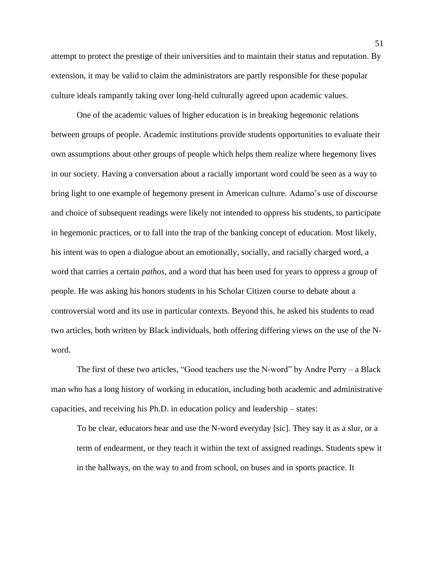attempt to protect the prestige of their universities and to maintain their status and reputation. By extension, it may be valid to claim the administrators are partly responsible for these popular culture ideals rampantly taking over long-held culturally agreed upon academic values.

One of the academic values of higher education is in breaking hegemonic relations between groups of people. Academic institutions provide students opportunities to evaluate their own assumptions about other groups of people which helps them realize where hegemony lives in our society. Having a conversation about a racially important word could be seen as a way to bring light to one example of hegemony present in American culture. Adamo's use of discourse and choice of subsequent readings were likely not intended to oppress his students, to participate in hegemonic practices, or to fall into the trap of the banking concept of education. Most likely, his intent was to open a dialogue about an emotionally, socially, and racially charged word, a word that carries a certain *pathos*, and a word that has been used for years to oppress a group of people. He was asking his honors students in his Scholar Citizen course to debate about a controversial word and its use in particular contexts. Beyond this, he asked his students to read two articles, both written by Black individuals, both offering differing views on the use of the Nword.

The first of these two articles, "Good teachers use the N-word" by Andre Perry  $-$  a Black man who has a long history of working in education, including both academic and administrative capacities, and receiving his Ph.D. in education policy and leadership – states:

To be clear, educators hear and use the N-word everyday [sic]. They say it as a slur, or a term of endearment, or they teach it within the text of assigned readings. Students spew it in the hallways, on the way to and from school, on buses and in sports practice. It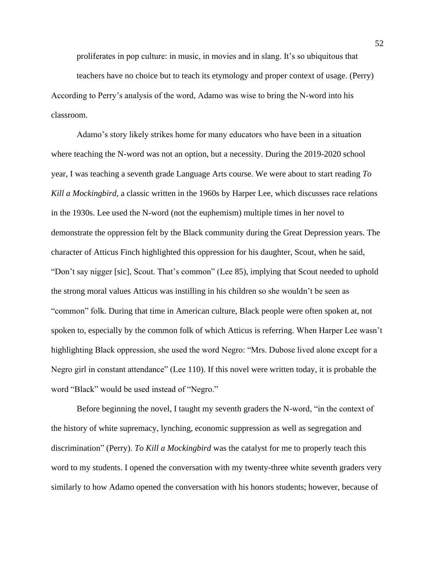proliferates in pop culture: in music, in movies and in slang. It's so ubiquitous that teachers have no choice but to teach its etymology and proper context of usage. (Perry) According to Perry's analysis of the word, Adamo was wise to bring the N-word into his classroom.

Adamo's story likely strikes home for many educators who have been in a situation where teaching the N-word was not an option, but a necessity. During the 2019-2020 school year, I was teaching a seventh grade Language Arts course. We were about to start reading *To Kill a Mockingbird*, a classic written in the 1960s by Harper Lee, which discusses race relations in the 1930s. Lee used the N-word (not the euphemism) multiple times in her novel to demonstrate the oppression felt by the Black community during the Great Depression years. The character of Atticus Finch highlighted this oppression for his daughter, Scout, when he said, "Don't say nigger [sic], Scout. That's common" (Lee 85), implying that Scout needed to uphold the strong moral values Atticus was instilling in his children so she wouldn't be seen as "common" folk. During that time in American culture, Black people were often spoken at, not spoken to, especially by the common folk of which Atticus is referring. When Harper Lee wasn't highlighting Black oppression, she used the word Negro: "Mrs. Dubose lived alone except for a Negro girl in constant attendance" (Lee 110). If this novel were written today, it is probable the word "Black" would be used instead of "Negro."

Before beginning the novel, I taught my seventh graders the N-word, "in the context of the history of white supremacy, lynching, economic suppression as well as segregation and discrimination" (Perry). *To Kill a Mockingbird* was the catalyst for me to properly teach this word to my students. I opened the conversation with my twenty-three white seventh graders very similarly to how Adamo opened the conversation with his honors students; however, because of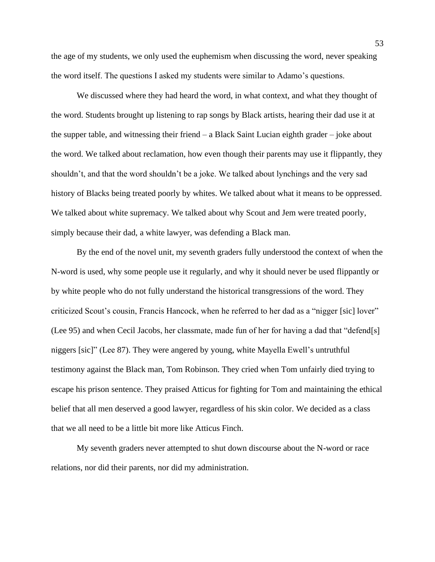the age of my students, we only used the euphemism when discussing the word, never speaking the word itself. The questions I asked my students were similar to Adamo's questions.

We discussed where they had heard the word, in what context, and what they thought of the word. Students brought up listening to rap songs by Black artists, hearing their dad use it at the supper table, and witnessing their friend – a Black Saint Lucian eighth grader – joke about the word. We talked about reclamation, how even though their parents may use it flippantly, they shouldn't, and that the word shouldn't be a joke. We talked about lynchings and the very sad history of Blacks being treated poorly by whites. We talked about what it means to be oppressed. We talked about white supremacy. We talked about why Scout and Jem were treated poorly, simply because their dad, a white lawyer, was defending a Black man.

By the end of the novel unit, my seventh graders fully understood the context of when the N-word is used, why some people use it regularly, and why it should never be used flippantly or by white people who do not fully understand the historical transgressions of the word. They criticized Scout's cousin, Francis Hancock, when he referred to her dad as a "nigger [sic] lover" (Lee 95) and when Cecil Jacobs, her classmate, made fun of her for having a dad that "defend[s] niggers [sic]" (Lee 87). They were angered by young, white Mayella Ewell's untruthful testimony against the Black man, Tom Robinson. They cried when Tom unfairly died trying to escape his prison sentence. They praised Atticus for fighting for Tom and maintaining the ethical belief that all men deserved a good lawyer, regardless of his skin color. We decided as a class that we all need to be a little bit more like Atticus Finch.

My seventh graders never attempted to shut down discourse about the N-word or race relations, nor did their parents, nor did my administration.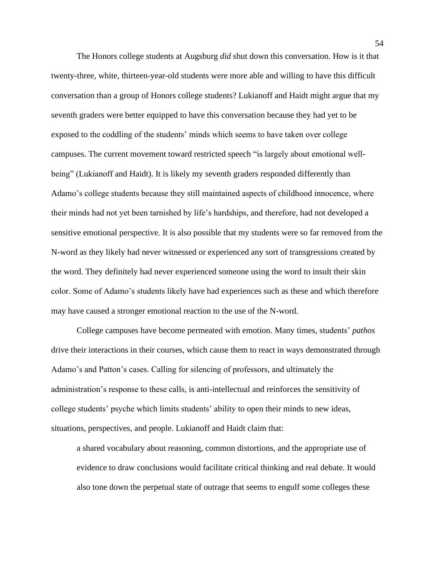The Honors college students at Augsburg *did* shut down this conversation. How is it that twenty-three, white, thirteen-year-old students were more able and willing to have this difficult conversation than a group of Honors college students? Lukianoff and Haidt might argue that my seventh graders were better equipped to have this conversation because they had yet to be exposed to the coddling of the students' minds which seems to have taken over college campuses. The current movement toward restricted speech "is largely about emotional wellbeing" (Lukianoff and Haidt). It is likely my seventh graders responded differently than Adamo's college students because they still maintained aspects of childhood innocence, where their minds had not yet been tarnished by life's hardships, and therefore, had not developed a sensitive emotional perspective. It is also possible that my students were so far removed from the N-word as they likely had never witnessed or experienced any sort of transgressions created by the word. They definitely had never experienced someone using the word to insult their skin color. Some of Adamo's students likely have had experiences such as these and which therefore may have caused a stronger emotional reaction to the use of the N-word.

College campuses have become permeated with emotion. Many times, students' *pathos* drive their interactions in their courses, which cause them to react in ways demonstrated through Adamo's and Patton's cases. Calling for silencing of professors, and ultimately the administration's response to these calls, is anti-intellectual and reinforces the sensitivity of college students' psyche which limits students' ability to open their minds to new ideas, situations, perspectives, and people. Lukianoff and Haidt claim that:

a shared vocabulary about reasoning, common distortions, and the appropriate use of evidence to draw conclusions would facilitate critical thinking and real debate. It would also tone down the perpetual state of outrage that seems to engulf some colleges these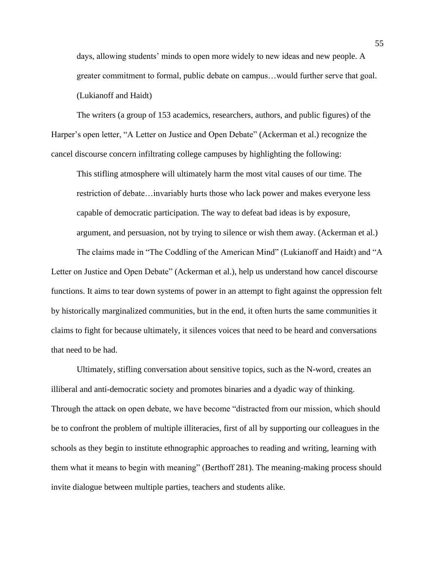days, allowing students' minds to open more widely to new ideas and new people. A greater commitment to formal, public debate on campus…would further serve that goal. (Lukianoff and Haidt)

The writers (a group of 153 academics, researchers, authors, and public figures) of the Harper's open letter, "A Letter on Justice and Open Debate" (Ackerman et al.) recognize the cancel discourse concern infiltrating college campuses by highlighting the following:

This stifling atmosphere will ultimately harm the most vital causes of our time. The restriction of debate…invariably hurts those who lack power and makes everyone less capable of democratic participation. The way to defeat bad ideas is by exposure, argument, and persuasion, not by trying to silence or wish them away. (Ackerman et al.)

The claims made in "The Coddling of the American Mind" (Lukianoff and Haidt) and "A Letter on Justice and Open Debate" (Ackerman et al.), help us understand how cancel discourse functions. It aims to tear down systems of power in an attempt to fight against the oppression felt by historically marginalized communities, but in the end, it often hurts the same communities it claims to fight for because ultimately, it silences voices that need to be heard and conversations that need to be had.

Ultimately, stifling conversation about sensitive topics, such as the N-word, creates an illiberal and anti-democratic society and promotes binaries and a dyadic way of thinking. Through the attack on open debate, we have become "distracted from our mission, which should be to confront the problem of multiple illiteracies, first of all by supporting our colleagues in the schools as they begin to institute ethnographic approaches to reading and writing, learning with them what it means to begin with meaning" (Berthoff 281). The meaning-making process should invite dialogue between multiple parties, teachers and students alike.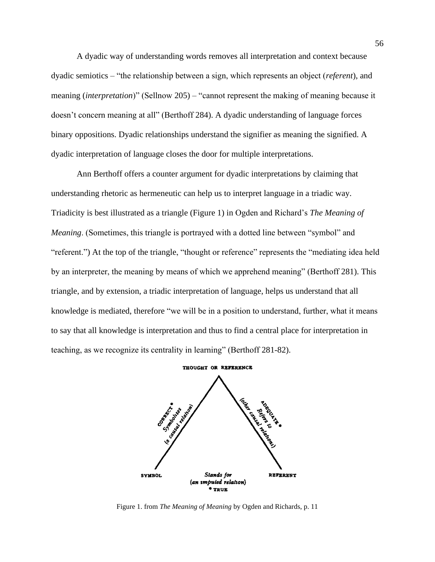A dyadic way of understanding words removes all interpretation and context because dyadic semiotics – "the relationship between a sign, which represents an object (*referent*), and meaning (*interpretation*)" (Sellnow 205) – "cannot represent the making of meaning because it doesn't concern meaning at all" (Berthoff 284). A dyadic understanding of language forces binary oppositions. Dyadic relationships understand the signifier as meaning the signified. A dyadic interpretation of language closes the door for multiple interpretations.

Ann Berthoff offers a counter argument for dyadic interpretations by claiming that understanding rhetoric as hermeneutic can help us to interpret language in a triadic way. Triadicity is best illustrated as a triangle (Figure 1) in Ogden and Richard's *The Meaning of Meaning*. (Sometimes, this triangle is portrayed with a dotted line between "symbol" and "referent.") At the top of the triangle, "thought or reference" represents the "mediating idea held by an interpreter, the meaning by means of which we apprehend meaning" (Berthoff 281). This triangle, and by extension, a triadic interpretation of language, helps us understand that all knowledge is mediated, therefore "we will be in a position to understand, further, what it means to say that all knowledge is interpretation and thus to find a central place for interpretation in teaching, as we recognize its centrality in learning" (Berthoff 281-82).



Figure 1. from *The Meaning of Meaning* by Ogden and Richards, p. 11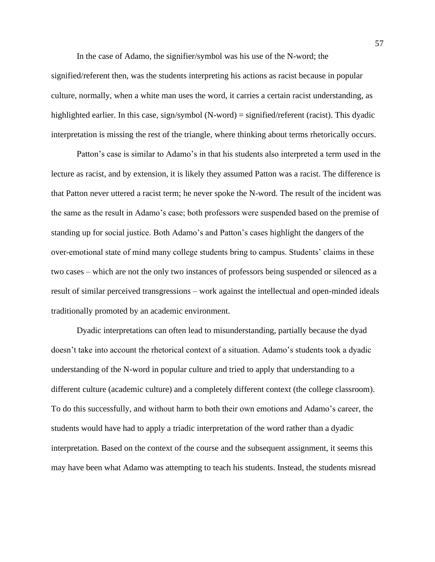In the case of Adamo, the signifier/symbol was his use of the N-word; the

signified/referent then, was the students interpreting his actions as racist because in popular culture, normally, when a white man uses the word, it carries a certain racist understanding, as highlighted earlier. In this case, sign/symbol (N-word) = signified/referent (racist). This dyadic interpretation is missing the rest of the triangle, where thinking about terms rhetorically occurs.

Patton's case is similar to Adamo's in that his students also interpreted a term used in the lecture as racist, and by extension, it is likely they assumed Patton was a racist. The difference is that Patton never uttered a racist term; he never spoke the N-word. The result of the incident was the same as the result in Adamo's case; both professors were suspended based on the premise of standing up for social justice. Both Adamo's and Patton's cases highlight the dangers of the over-emotional state of mind many college students bring to campus. Students' claims in these two cases – which are not the only two instances of professors being suspended or silenced as a result of similar perceived transgressions – work against the intellectual and open-minded ideals traditionally promoted by an academic environment.

Dyadic interpretations can often lead to misunderstanding, partially because the dyad doesn't take into account the rhetorical context of a situation. Adamo's students took a dyadic understanding of the N-word in popular culture and tried to apply that understanding to a different culture (academic culture) and a completely different context (the college classroom). To do this successfully, and without harm to both their own emotions and Adamo's career, the students would have had to apply a triadic interpretation of the word rather than a dyadic interpretation. Based on the context of the course and the subsequent assignment, it seems this may have been what Adamo was attempting to teach his students. Instead, the students misread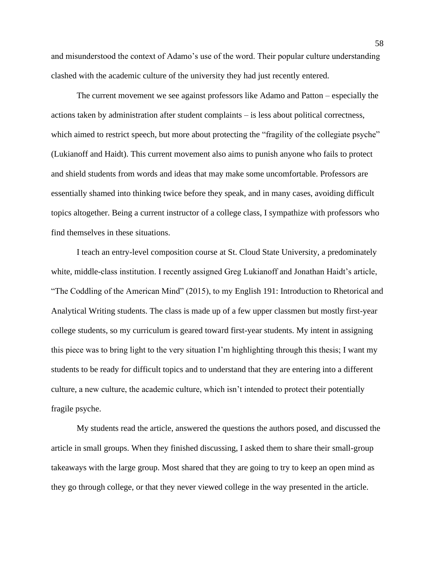and misunderstood the context of Adamo's use of the word. Their popular culture understanding clashed with the academic culture of the university they had just recently entered.

The current movement we see against professors like Adamo and Patton – especially the actions taken by administration after student complaints – is less about political correctness, which aimed to restrict speech, but more about protecting the "fragility of the collegiate psyche" (Lukianoff and Haidt). This current movement also aims to punish anyone who fails to protect and shield students from words and ideas that may make some uncomfortable. Professors are essentially shamed into thinking twice before they speak, and in many cases, avoiding difficult topics altogether. Being a current instructor of a college class, I sympathize with professors who find themselves in these situations.

I teach an entry-level composition course at St. Cloud State University, a predominately white, middle-class institution. I recently assigned Greg Lukianoff and Jonathan Haidt's article, "The Coddling of the American Mind" (2015), to my English 191: Introduction to Rhetorical and Analytical Writing students. The class is made up of a few upper classmen but mostly first-year college students, so my curriculum is geared toward first-year students. My intent in assigning this piece was to bring light to the very situation I'm highlighting through this thesis; I want my students to be ready for difficult topics and to understand that they are entering into a different culture, a new culture, the academic culture, which isn't intended to protect their potentially fragile psyche.

My students read the article, answered the questions the authors posed, and discussed the article in small groups. When they finished discussing, I asked them to share their small-group takeaways with the large group. Most shared that they are going to try to keep an open mind as they go through college, or that they never viewed college in the way presented in the article.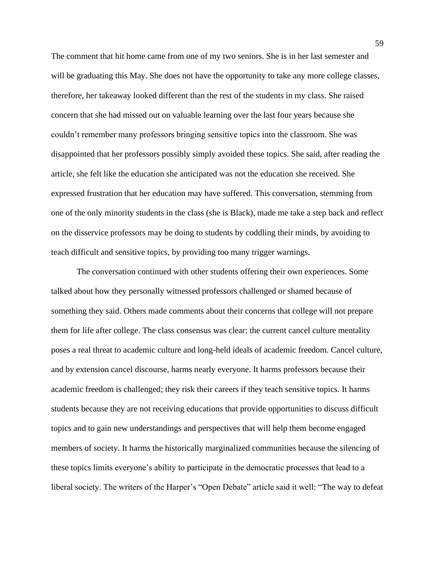The comment that hit home came from one of my two seniors. She is in her last semester and will be graduating this May. She does not have the opportunity to take any more college classes, therefore, her takeaway looked different than the rest of the students in my class. She raised concern that she had missed out on valuable learning over the last four years because she couldn't remember many professors bringing sensitive topics into the classroom. She was disappointed that her professors possibly simply avoided these topics. She said, after reading the article, she felt like the education she anticipated was not the education she received. She expressed frustration that her education may have suffered. This conversation, stemming from one of the only minority students in the class (she is Black), made me take a step back and reflect on the disservice professors may be doing to students by coddling their minds, by avoiding to teach difficult and sensitive topics, by providing too many trigger warnings.

The conversation continued with other students offering their own experiences. Some talked about how they personally witnessed professors challenged or shamed because of something they said. Others made comments about their concerns that college will not prepare them for life after college. The class consensus was clear: the current cancel culture mentality poses a real threat to academic culture and long-held ideals of academic freedom. Cancel culture, and by extension cancel discourse, harms nearly everyone. It harms professors because their academic freedom is challenged; they risk their careers if they teach sensitive topics. It harms students because they are not receiving educations that provide opportunities to discuss difficult topics and to gain new understandings and perspectives that will help them become engaged members of society. It harms the historically marginalized communities because the silencing of these topics limits everyone's ability to participate in the democratic processes that lead to a liberal society. The writers of the Harper's "Open Debate" article said it well: "The way to defeat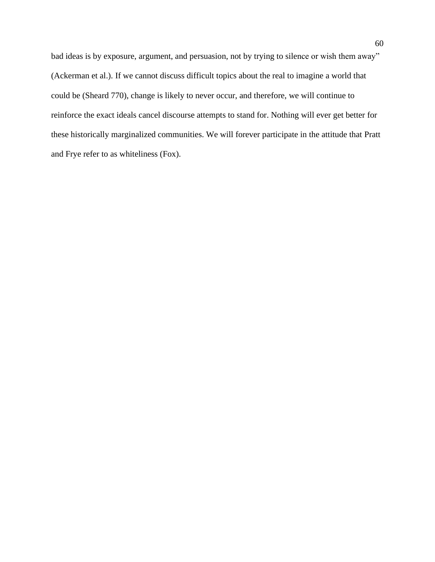bad ideas is by exposure, argument, and persuasion, not by trying to silence or wish them away" (Ackerman et al.). If we cannot discuss difficult topics about the real to imagine a world that could be (Sheard 770), change is likely to never occur, and therefore, we will continue to reinforce the exact ideals cancel discourse attempts to stand for. Nothing will ever get better for these historically marginalized communities. We will forever participate in the attitude that Pratt and Frye refer to as whiteliness (Fox).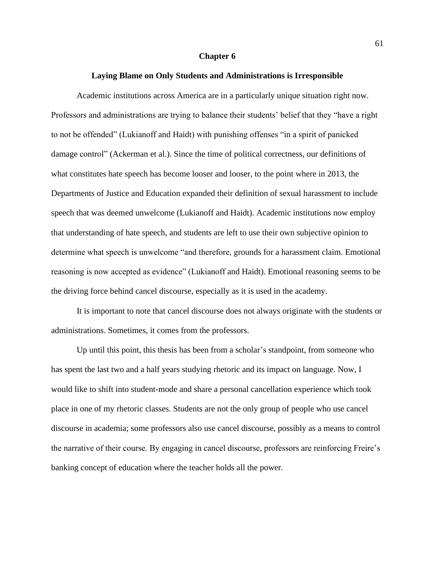#### **Chapter 6**

# **Laying Blame on Only Students and Administrations is Irresponsible**

Academic institutions across America are in a particularly unique situation right now. Professors and administrations are trying to balance their students' belief that they "have a right to not be offended" (Lukianoff and Haidt) with punishing offenses "in a spirit of panicked damage control" (Ackerman et al.). Since the time of political correctness, our definitions of what constitutes hate speech has become looser and looser, to the point where in 2013, the Departments of Justice and Education expanded their definition of sexual harassment to include speech that was deemed unwelcome (Lukianoff and Haidt). Academic institutions now employ that understanding of hate speech, and students are left to use their own subjective opinion to determine what speech is unwelcome "and therefore, grounds for a harassment claim. Emotional reasoning is now accepted as evidence" (Lukianoff and Haidt). Emotional reasoning seems to be the driving force behind cancel discourse, especially as it is used in the academy.

It is important to note that cancel discourse does not always originate with the students or administrations. Sometimes, it comes from the professors.

Up until this point, this thesis has been from a scholar's standpoint, from someone who has spent the last two and a half years studying rhetoric and its impact on language. Now, I would like to shift into student-mode and share a personal cancellation experience which took place in one of my rhetoric classes. Students are not the only group of people who use cancel discourse in academia; some professors also use cancel discourse, possibly as a means to control the narrative of their course. By engaging in cancel discourse, professors are reinforcing Freire's banking concept of education where the teacher holds all the power.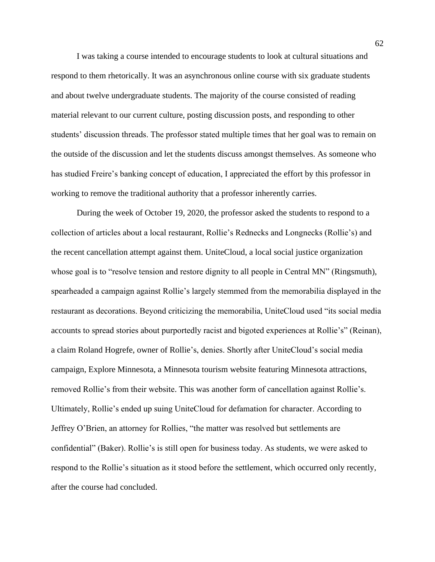I was taking a course intended to encourage students to look at cultural situations and respond to them rhetorically. It was an asynchronous online course with six graduate students and about twelve undergraduate students. The majority of the course consisted of reading material relevant to our current culture, posting discussion posts, and responding to other students' discussion threads. The professor stated multiple times that her goal was to remain on the outside of the discussion and let the students discuss amongst themselves. As someone who has studied Freire's banking concept of education, I appreciated the effort by this professor in working to remove the traditional authority that a professor inherently carries.

During the week of October 19, 2020, the professor asked the students to respond to a collection of articles about a local restaurant, Rollie's Rednecks and Longnecks (Rollie's) and the recent cancellation attempt against them. UniteCloud, a local social justice organization whose goal is to "resolve tension and restore dignity to all people in Central MN" (Ringsmuth), spearheaded a campaign against Rollie's largely stemmed from the memorabilia displayed in the restaurant as decorations. Beyond criticizing the memorabilia, UniteCloud used "its social media accounts to spread stories about purportedly racist and bigoted experiences at Rollie's" (Reinan), a claim Roland Hogrefe, owner of Rollie's, denies. Shortly after UniteCloud's social media campaign, Explore Minnesota, a Minnesota tourism website featuring Minnesota attractions, removed Rollie's from their website. This was another form of cancellation against Rollie's. Ultimately, Rollie's ended up suing UniteCloud for defamation for character. According to Jeffrey O'Brien, an attorney for Rollies, "the matter was resolved but settlements are confidential" (Baker). Rollie's is still open for business today. As students, we were asked to respond to the Rollie's situation as it stood before the settlement, which occurred only recently, after the course had concluded.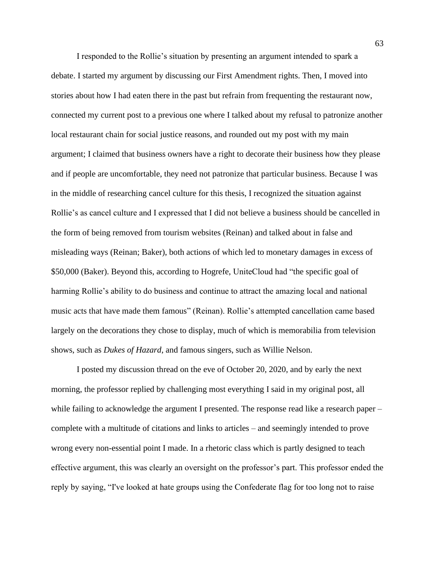I responded to the Rollie's situation by presenting an argument intended to spark a debate. I started my argument by discussing our First Amendment rights. Then, I moved into stories about how I had eaten there in the past but refrain from frequenting the restaurant now, connected my current post to a previous one where I talked about my refusal to patronize another local restaurant chain for social justice reasons, and rounded out my post with my main argument; I claimed that business owners have a right to decorate their business how they please and if people are uncomfortable, they need not patronize that particular business. Because I was in the middle of researching cancel culture for this thesis, I recognized the situation against Rollie's as cancel culture and I expressed that I did not believe a business should be cancelled in the form of being removed from tourism websites (Reinan) and talked about in false and misleading ways (Reinan; Baker), both actions of which led to monetary damages in excess of \$50,000 (Baker). Beyond this, according to Hogrefe, UniteCloud had "the specific goal of harming Rollie's ability to do business and continue to attract the amazing local and national music acts that have made them famous" (Reinan). Rollie's attempted cancellation came based largely on the decorations they chose to display, much of which is memorabilia from television shows, such as *Dukes of Hazard*, and famous singers, such as Willie Nelson.

I posted my discussion thread on the eve of October 20, 2020, and by early the next morning, the professor replied by challenging most everything I said in my original post, all while failing to acknowledge the argument I presented. The response read like a research paper – complete with a multitude of citations and links to articles – and seemingly intended to prove wrong every non-essential point I made. In a rhetoric class which is partly designed to teach effective argument, this was clearly an oversight on the professor's part. This professor ended the reply by saying, "I've looked at hate groups using the Confederate flag for too long not to raise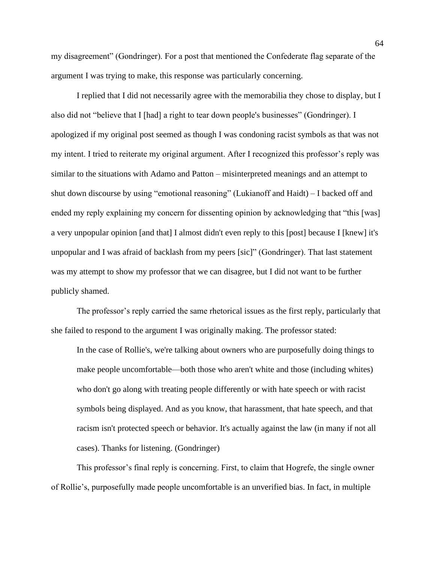my disagreement" (Gondringer). For a post that mentioned the Confederate flag separate of the argument I was trying to make, this response was particularly concerning.

I replied that I did not necessarily agree with the memorabilia they chose to display, but I also did not "believe that I [had] a right to tear down people's businesses" (Gondringer). I apologized if my original post seemed as though I was condoning racist symbols as that was not my intent. I tried to reiterate my original argument. After I recognized this professor's reply was similar to the situations with Adamo and Patton – misinterpreted meanings and an attempt to shut down discourse by using "emotional reasoning" (Lukianoff and Haidt) – I backed off and ended my reply explaining my concern for dissenting opinion by acknowledging that "this [was] a very unpopular opinion [and that] I almost didn't even reply to this [post] because I [knew] it's unpopular and I was afraid of backlash from my peers [sic]" (Gondringer). That last statement was my attempt to show my professor that we can disagree, but I did not want to be further publicly shamed.

The professor's reply carried the same rhetorical issues as the first reply, particularly that she failed to respond to the argument I was originally making. The professor stated:

In the case of Rollie's, we're talking about owners who are purposefully doing things to make people uncomfortable—both those who aren't white and those (including whites) who don't go along with treating people differently or with hate speech or with racist symbols being displayed. And as you know, that harassment, that hate speech, and that racism isn't protected speech or behavior. It's actually against the law (in many if not all cases). Thanks for listening. (Gondringer)

This professor's final reply is concerning. First, to claim that Hogrefe, the single owner of Rollie's, purposefully made people uncomfortable is an unverified bias. In fact, in multiple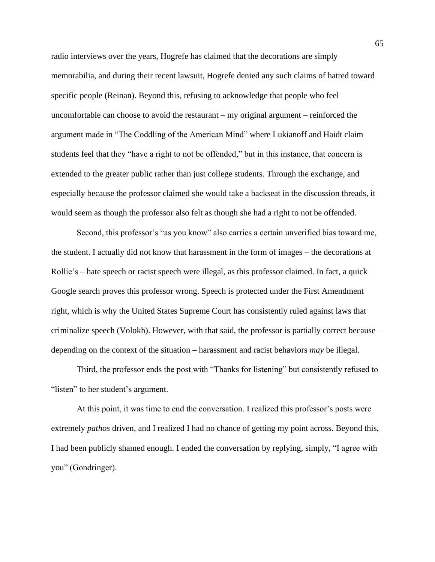radio interviews over the years, Hogrefe has claimed that the decorations are simply memorabilia, and during their recent lawsuit, Hogrefe denied any such claims of hatred toward specific people (Reinan). Beyond this, refusing to acknowledge that people who feel uncomfortable can choose to avoid the restaurant – my original argument – reinforced the argument made in "The Coddling of the American Mind" where Lukianoff and Haidt claim students feel that they "have a right to not be offended," but in this instance, that concern is extended to the greater public rather than just college students. Through the exchange, and especially because the professor claimed she would take a backseat in the discussion threads, it would seem as though the professor also felt as though she had a right to not be offended.

Second, this professor's "as you know" also carries a certain unverified bias toward me, the student. I actually did not know that harassment in the form of images – the decorations at Rollie's – hate speech or racist speech were illegal, as this professor claimed. In fact, a quick Google search proves this professor wrong. Speech is protected under the First Amendment right, which is why the United States Supreme Court has consistently ruled against laws that criminalize speech (Volokh). However, with that said, the professor is partially correct because – depending on the context of the situation – harassment and racist behaviors *may* be illegal.

Third, the professor ends the post with "Thanks for listening" but consistently refused to "listen" to her student's argument.

At this point, it was time to end the conversation. I realized this professor's posts were extremely *pathos* driven, and I realized I had no chance of getting my point across. Beyond this, I had been publicly shamed enough. I ended the conversation by replying, simply, "I agree with you" (Gondringer).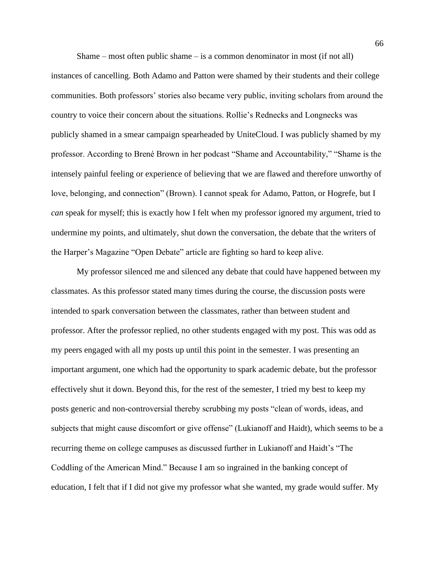Shame – most often public shame – is a common denominator in most (if not all) instances of cancelling. Both Adamo and Patton were shamed by their students and their college communities. Both professors' stories also became very public, inviting scholars from around the country to voice their concern about the situations. Rollie's Rednecks and Longnecks was publicly shamed in a smear campaign spearheaded by UniteCloud. I was publicly shamed by my professor. According to Brené Brown in her podcast "Shame and Accountability," "Shame is the intensely painful feeling or experience of believing that we are flawed and therefore unworthy of love, belonging, and connection" (Brown). I cannot speak for Adamo, Patton, or Hogrefe, but I *can* speak for myself; this is exactly how I felt when my professor ignored my argument, tried to undermine my points, and ultimately, shut down the conversation, the debate that the writers of the Harper's Magazine "Open Debate" article are fighting so hard to keep alive.

My professor silenced me and silenced any debate that could have happened between my classmates. As this professor stated many times during the course, the discussion posts were intended to spark conversation between the classmates, rather than between student and professor. After the professor replied, no other students engaged with my post. This was odd as my peers engaged with all my posts up until this point in the semester. I was presenting an important argument, one which had the opportunity to spark academic debate, but the professor effectively shut it down. Beyond this, for the rest of the semester, I tried my best to keep my posts generic and non-controversial thereby scrubbing my posts "clean of words, ideas, and subjects that might cause discomfort or give offense" (Lukianoff and Haidt), which seems to be a recurring theme on college campuses as discussed further in Lukianoff and Haidt's "The Coddling of the American Mind." Because I am so ingrained in the banking concept of education, I felt that if I did not give my professor what she wanted, my grade would suffer. My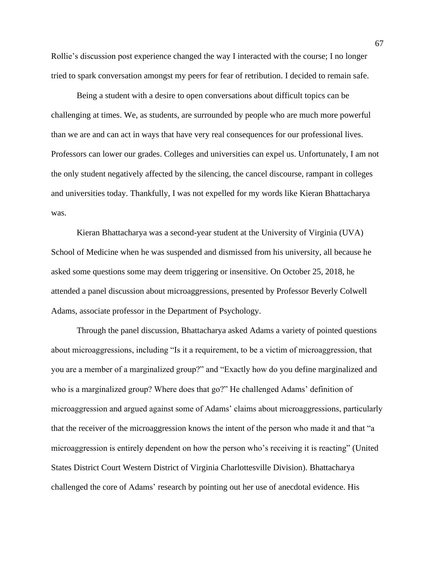Rollie's discussion post experience changed the way I interacted with the course; I no longer tried to spark conversation amongst my peers for fear of retribution. I decided to remain safe.

Being a student with a desire to open conversations about difficult topics can be challenging at times. We, as students, are surrounded by people who are much more powerful than we are and can act in ways that have very real consequences for our professional lives. Professors can lower our grades. Colleges and universities can expel us. Unfortunately, I am not the only student negatively affected by the silencing, the cancel discourse, rampant in colleges and universities today. Thankfully, I was not expelled for my words like Kieran Bhattacharya was.

Kieran Bhattacharya was a second-year student at the University of Virginia (UVA) School of Medicine when he was suspended and dismissed from his university, all because he asked some questions some may deem triggering or insensitive. On October 25, 2018, he attended a panel discussion about microaggressions, presented by Professor Beverly Colwell Adams, associate professor in the Department of Psychology.

Through the panel discussion, Bhattacharya asked Adams a variety of pointed questions about microaggressions, including "Is it a requirement, to be a victim of microaggression, that you are a member of a marginalized group?" and "Exactly how do you define marginalized and who is a marginalized group? Where does that go?" He challenged Adams' definition of microaggression and argued against some of Adams' claims about microaggressions, particularly that the receiver of the microaggression knows the intent of the person who made it and that "a microaggression is entirely dependent on how the person who's receiving it is reacting" (United States District Court Western District of Virginia Charlottesville Division). Bhattacharya challenged the core of Adams' research by pointing out her use of anecdotal evidence. His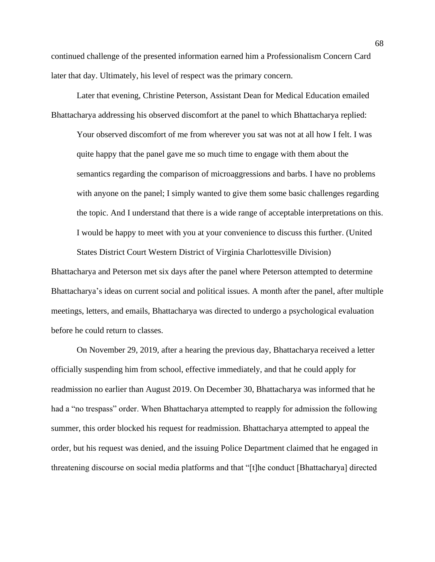continued challenge of the presented information earned him a Professionalism Concern Card later that day. Ultimately, his level of respect was the primary concern.

Later that evening, Christine Peterson, Assistant Dean for Medical Education emailed Bhattacharya addressing his observed discomfort at the panel to which Bhattacharya replied:

Your observed discomfort of me from wherever you sat was not at all how I felt. I was quite happy that the panel gave me so much time to engage with them about the semantics regarding the comparison of microaggressions and barbs. I have no problems with anyone on the panel; I simply wanted to give them some basic challenges regarding the topic. And I understand that there is a wide range of acceptable interpretations on this. I would be happy to meet with you at your convenience to discuss this further. (United States District Court Western District of Virginia Charlottesville Division)

Bhattacharya and Peterson met six days after the panel where Peterson attempted to determine Bhattacharya's ideas on current social and political issues. A month after the panel, after multiple meetings, letters, and emails, Bhattacharya was directed to undergo a psychological evaluation before he could return to classes.

On November 29, 2019, after a hearing the previous day, Bhattacharya received a letter officially suspending him from school, effective immediately, and that he could apply for readmission no earlier than August 2019. On December 30, Bhattacharya was informed that he had a "no trespass" order. When Bhattacharya attempted to reapply for admission the following summer, this order blocked his request for readmission. Bhattacharya attempted to appeal the order, but his request was denied, and the issuing Police Department claimed that he engaged in threatening discourse on social media platforms and that "[t]he conduct [Bhattacharya] directed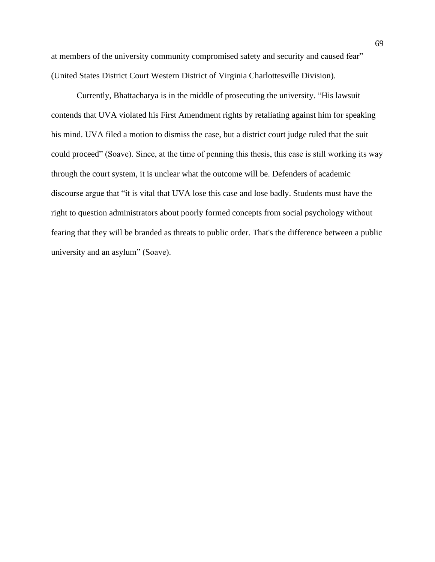at members of the university community compromised safety and security and caused fear" (United States District Court Western District of Virginia Charlottesville Division).

Currently, Bhattacharya is in the middle of prosecuting the university. "His lawsuit contends that UVA violated his First Amendment rights by retaliating against him for speaking his mind. UVA filed a motion to dismiss the case, but a district court judge ruled that the suit could proceed" (Soave). Since, at the time of penning this thesis, this case is still working its way through the court system, it is unclear what the outcome will be. Defenders of academic discourse argue that "it is vital that UVA lose this case and lose badly. Students must have the right to question administrators about poorly formed concepts from social psychology without fearing that they will be branded as threats to public order. That's the difference between a public university and an asylum" (Soave).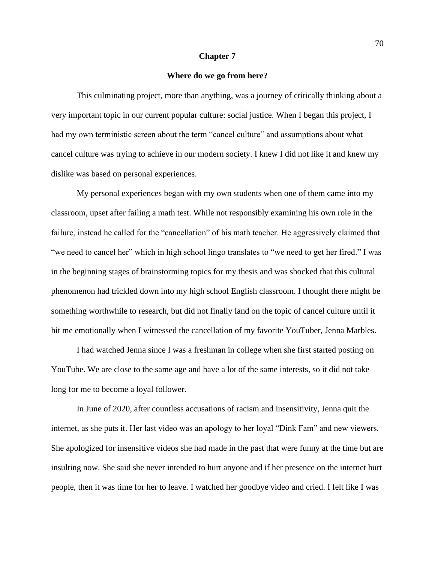#### **Chapter 7**

# **Where do we go from here?**

This culminating project, more than anything, was a journey of critically thinking about a very important topic in our current popular culture: social justice. When I began this project, I had my own terministic screen about the term "cancel culture" and assumptions about what cancel culture was trying to achieve in our modern society. I knew I did not like it and knew my dislike was based on personal experiences.

My personal experiences began with my own students when one of them came into my classroom, upset after failing a math test. While not responsibly examining his own role in the failure, instead he called for the "cancellation" of his math teacher. He aggressively claimed that "we need to cancel her" which in high school lingo translates to "we need to get her fired." I was in the beginning stages of brainstorming topics for my thesis and was shocked that this cultural phenomenon had trickled down into my high school English classroom. I thought there might be something worthwhile to research, but did not finally land on the topic of cancel culture until it hit me emotionally when I witnessed the cancellation of my favorite YouTuber, Jenna Marbles.

I had watched Jenna since I was a freshman in college when she first started posting on YouTube. We are close to the same age and have a lot of the same interests, so it did not take long for me to become a loyal follower.

In June of 2020, after countless accusations of racism and insensitivity, Jenna quit the internet, as she puts it. Her last video was an apology to her loyal "Dink Fam" and new viewers. She apologized for insensitive videos she had made in the past that were funny at the time but are insulting now. She said she never intended to hurt anyone and if her presence on the internet hurt people, then it was time for her to leave. I watched her goodbye video and cried. I felt like I was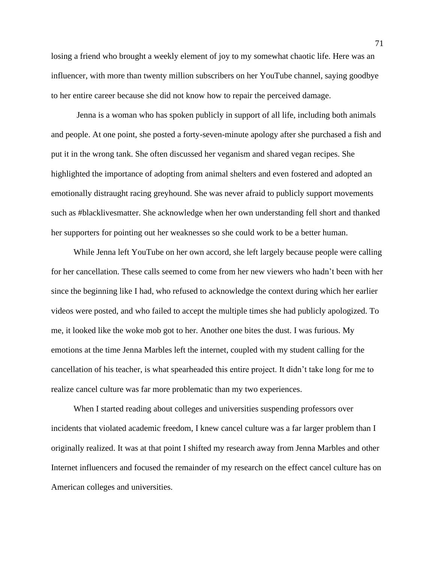losing a friend who brought a weekly element of joy to my somewhat chaotic life. Here was an influencer, with more than twenty million subscribers on her YouTube channel, saying goodbye to her entire career because she did not know how to repair the perceived damage.

Jenna is a woman who has spoken publicly in support of all life, including both animals and people. At one point, she posted a forty-seven-minute apology after she purchased a fish and put it in the wrong tank. She often discussed her veganism and shared vegan recipes. She highlighted the importance of adopting from animal shelters and even fostered and adopted an emotionally distraught racing greyhound. She was never afraid to publicly support movements such as #blacklivesmatter. She acknowledge when her own understanding fell short and thanked her supporters for pointing out her weaknesses so she could work to be a better human.

While Jenna left YouTube on her own accord, she left largely because people were calling for her cancellation. These calls seemed to come from her new viewers who hadn't been with her since the beginning like I had, who refused to acknowledge the context during which her earlier videos were posted, and who failed to accept the multiple times she had publicly apologized. To me, it looked like the woke mob got to her. Another one bites the dust. I was furious. My emotions at the time Jenna Marbles left the internet, coupled with my student calling for the cancellation of his teacher, is what spearheaded this entire project. It didn't take long for me to realize cancel culture was far more problematic than my two experiences.

When I started reading about colleges and universities suspending professors over incidents that violated academic freedom, I knew cancel culture was a far larger problem than I originally realized. It was at that point I shifted my research away from Jenna Marbles and other Internet influencers and focused the remainder of my research on the effect cancel culture has on American colleges and universities.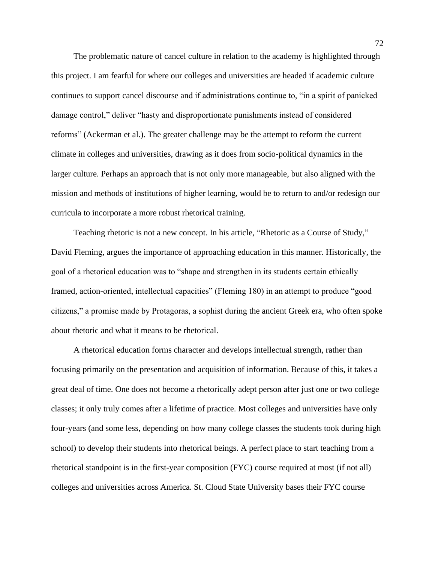The problematic nature of cancel culture in relation to the academy is highlighted through this project. I am fearful for where our colleges and universities are headed if academic culture continues to support cancel discourse and if administrations continue to, "in a spirit of panicked damage control," deliver "hasty and disproportionate punishments instead of considered reforms" (Ackerman et al.). The greater challenge may be the attempt to reform the current climate in colleges and universities, drawing as it does from socio-political dynamics in the larger culture. Perhaps an approach that is not only more manageable, but also aligned with the mission and methods of institutions of higher learning, would be to return to and/or redesign our curricula to incorporate a more robust rhetorical training.

Teaching rhetoric is not a new concept. In his article, "Rhetoric as a Course of Study," David Fleming, argues the importance of approaching education in this manner. Historically, the goal of a rhetorical education was to "shape and strengthen in its students certain ethically framed, action-oriented, intellectual capacities" (Fleming 180) in an attempt to produce "good citizens," a promise made by Protagoras, a sophist during the ancient Greek era, who often spoke about rhetoric and what it means to be rhetorical.

A rhetorical education forms character and develops intellectual strength, rather than focusing primarily on the presentation and acquisition of information. Because of this, it takes a great deal of time. One does not become a rhetorically adept person after just one or two college classes; it only truly comes after a lifetime of practice. Most colleges and universities have only four-years (and some less, depending on how many college classes the students took during high school) to develop their students into rhetorical beings. A perfect place to start teaching from a rhetorical standpoint is in the first-year composition (FYC) course required at most (if not all) colleges and universities across America. St. Cloud State University bases their FYC course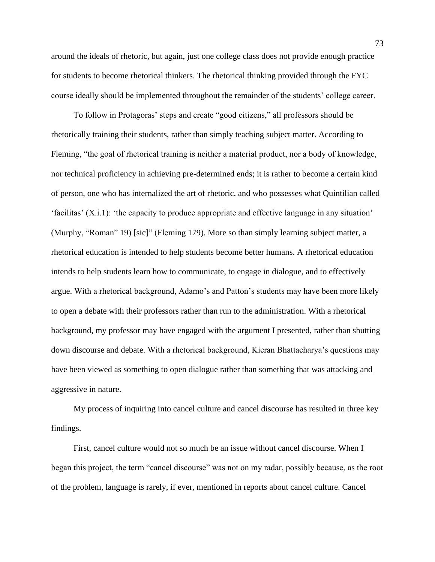around the ideals of rhetoric, but again, just one college class does not provide enough practice for students to become rhetorical thinkers. The rhetorical thinking provided through the FYC course ideally should be implemented throughout the remainder of the students' college career.

To follow in Protagoras' steps and create "good citizens," all professors should be rhetorically training their students, rather than simply teaching subject matter. According to Fleming, "the goal of rhetorical training is neither a material product, nor a body of knowledge, nor technical proficiency in achieving pre-determined ends; it is rather to become a certain kind of person, one who has internalized the art of rhetoric, and who possesses what Quintilian called 'facilitas' (X.i.1): 'the capacity to produce appropriate and effective language in any situation' (Murphy, "Roman" 19) [sic]" (Fleming 179). More so than simply learning subject matter, a rhetorical education is intended to help students become better humans. A rhetorical education intends to help students learn how to communicate, to engage in dialogue, and to effectively argue. With a rhetorical background, Adamo's and Patton's students may have been more likely to open a debate with their professors rather than run to the administration. With a rhetorical background, my professor may have engaged with the argument I presented, rather than shutting down discourse and debate. With a rhetorical background, Kieran Bhattacharya's questions may have been viewed as something to open dialogue rather than something that was attacking and aggressive in nature.

My process of inquiring into cancel culture and cancel discourse has resulted in three key findings.

First, cancel culture would not so much be an issue without cancel discourse. When I began this project, the term "cancel discourse" was not on my radar, possibly because, as the root of the problem, language is rarely, if ever, mentioned in reports about cancel culture. Cancel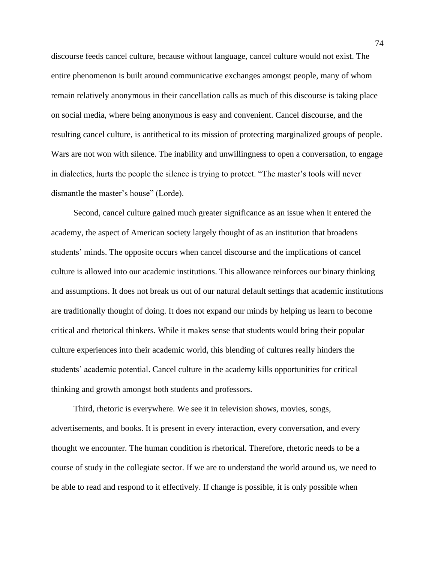discourse feeds cancel culture, because without language, cancel culture would not exist. The entire phenomenon is built around communicative exchanges amongst people, many of whom remain relatively anonymous in their cancellation calls as much of this discourse is taking place on social media, where being anonymous is easy and convenient. Cancel discourse, and the resulting cancel culture, is antithetical to its mission of protecting marginalized groups of people. Wars are not won with silence. The inability and unwillingness to open a conversation, to engage in dialectics, hurts the people the silence is trying to protect. "The master's tools will never dismantle the master's house" (Lorde).

Second, cancel culture gained much greater significance as an issue when it entered the academy, the aspect of American society largely thought of as an institution that broadens students' minds. The opposite occurs when cancel discourse and the implications of cancel culture is allowed into our academic institutions. This allowance reinforces our binary thinking and assumptions. It does not break us out of our natural default settings that academic institutions are traditionally thought of doing. It does not expand our minds by helping us learn to become critical and rhetorical thinkers. While it makes sense that students would bring their popular culture experiences into their academic world, this blending of cultures really hinders the students' academic potential. Cancel culture in the academy kills opportunities for critical thinking and growth amongst both students and professors.

Third, rhetoric is everywhere. We see it in television shows, movies, songs, advertisements, and books. It is present in every interaction, every conversation, and every thought we encounter. The human condition is rhetorical. Therefore, rhetoric needs to be a course of study in the collegiate sector. If we are to understand the world around us, we need to be able to read and respond to it effectively. If change is possible, it is only possible when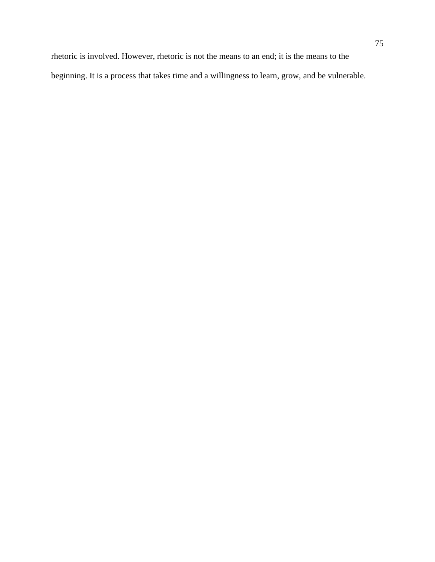rhetoric is involved. However, rhetoric is not the means to an end; it is the means to the beginning. It is a process that takes time and a willingness to learn, grow, and be vulnerable.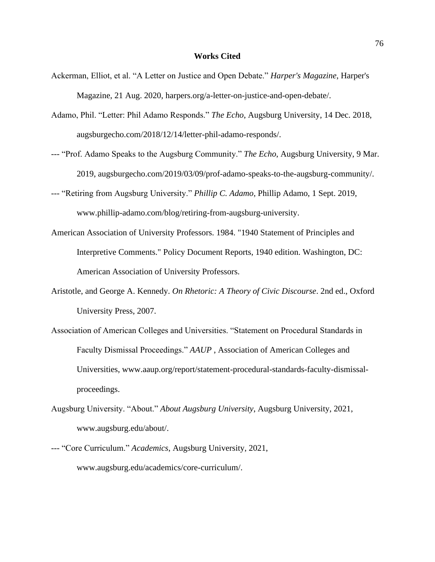## **Works Cited**

- Ackerman, Elliot, et al. "A Letter on Justice and Open Debate." *Harper's Magazine*, Harper's Magazine, 21 Aug. 2020, harpers.org/a-letter-on-justice-and-open-debate/.
- Adamo, Phil. "Letter: Phil Adamo Responds." *The Echo*, Augsburg University, 14 Dec. 2018, augsburgecho.com/2018/12/14/letter-phil-adamo-responds/.
- --- "Prof. Adamo Speaks to the Augsburg Community." *The Echo*, Augsburg University, 9 Mar. 2019, augsburgecho.com/2019/03/09/prof-adamo-speaks-to-the-augsburg-community/.
- --- "Retiring from Augsburg University." *Phillip C. Adamo*, Phillip Adamo, 1 Sept. 2019, www.phillip-adamo.com/blog/retiring-from-augsburg-university.
- American Association of University Professors. 1984. "1940 Statement of Principles and Interpretive Comments." Policy Document Reports, 1940 edition. Washington, DC: American Association of University Professors.
- Aristotle, and George A. Kennedy. *On Rhetoric: A Theory of Civic Discourse*. 2nd ed., Oxford University Press, 2007.
- Association of American Colleges and Universities. "Statement on Procedural Standards in Faculty Dismissal Proceedings." *AAUP* , Association of American Colleges and Universities, www.aaup.org/report/statement-procedural-standards-faculty-dismissalproceedings.
- Augsburg University. "About." *About Augsburg University*, Augsburg University, 2021, www.augsburg.edu/about/.
- --- "Core Curriculum." *Academics*, Augsburg University, 2021, www.augsburg.edu/academics/core-curriculum/.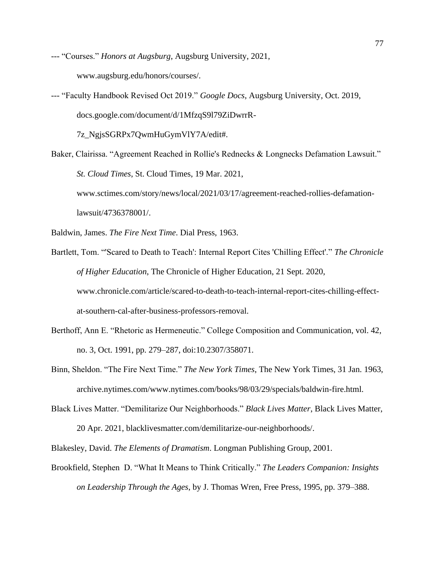--- "Courses." *Honors at Augsburg*, Augsburg University, 2021, www.augsburg.edu/honors/courses/.

--- "Faculty Handbook Revised Oct 2019." *Google Docs*, Augsburg University, Oct. 2019, docs.google.com/document/d/1MfzqS9l79ZiDwrrR-

7z\_NgjsSGRPx7QwmHuGymVlY7A/edit#.

Baker, Clairissa. "Agreement Reached in Rollie's Rednecks & Longnecks Defamation Lawsuit." *St. Cloud Times*, St. Cloud Times, 19 Mar. 2021, www.sctimes.com/story/news/local/2021/03/17/agreement-reached-rollies-defamationlawsuit/4736378001/.

Baldwin, James. *The Fire Next Time*. Dial Press, 1963.

- Bartlett, Tom. "'Scared to Death to Teach': Internal Report Cites 'Chilling Effect'." *The Chronicle of Higher Education*, The Chronicle of Higher Education, 21 Sept. 2020, www.chronicle.com/article/scared-to-death-to-teach-internal-report-cites-chilling-effectat-southern-cal-after-business-professors-removal.
- Berthoff, Ann E. "Rhetoric as Hermeneutic." College Composition and Communication, vol. 42, no. 3, Oct. 1991, pp. 279–287, doi:10.2307/358071.
- Binn, Sheldon. "The Fire Next Time." *The New York Times*, The New York Times, 31 Jan. 1963, archive.nytimes.com/www.nytimes.com/books/98/03/29/specials/baldwin-fire.html.
- Black Lives Matter. "Demilitarize Our Neighborhoods." *Black Lives Matter*, Black Lives Matter, 20 Apr. 2021, blacklivesmatter.com/demilitarize-our-neighborhoods/.
- Blakesley, David. *The Elements of Dramatism*. Longman Publishing Group, 2001.
- Brookfield, Stephen D. "What It Means to Think Critically." *The Leaders Companion: Insights on Leadership Through the Ages*, by J. Thomas Wren, Free Press, 1995, pp. 379–388.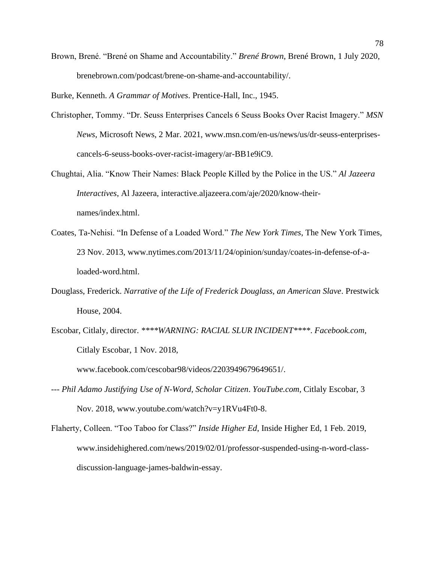Brown, Brené. "Brené on Shame and Accountability." *Brené Brown*, Brené Brown, 1 July 2020, brenebrown.com/podcast/brene-on-shame-and-accountability/.

Burke, Kenneth. *A Grammar of Motives*. Prentice-Hall, Inc., 1945.

- Christopher, Tommy. "Dr. Seuss Enterprises Cancels 6 Seuss Books Over Racist Imagery." *MSN News*, Microsoft News, 2 Mar. 2021, www.msn.com/en-us/news/us/dr-seuss-enterprisescancels-6-seuss-books-over-racist-imagery/ar-BB1e9iC9.
- Chughtai, Alia. "Know Their Names: Black People Killed by the Police in the US." *Al Jazeera Interactives*, Al Jazeera, interactive.aljazeera.com/aje/2020/know-theirnames/index.html.
- Coates, Ta-Nehisi. "In Defense of a Loaded Word." *The New York Times*, The New York Times, 23 Nov. 2013, www.nytimes.com/2013/11/24/opinion/sunday/coates-in-defense-of-aloaded-word.html.
- Douglass, Frederick. *Narrative of the Life of Frederick Douglass, an American Slave*. Prestwick House, 2004.
- Escobar, Citlaly, director. *\*\*\*\*WARNING: RACIAL SLUR INCIDENT\*\*\*\**. *Facebook.com*, Citlaly Escobar, 1 Nov. 2018,

www.facebook.com/cescobar98/videos/2203949679649651/.

- --- *Phil Adamo Justifying Use of N-Word, Scholar Citizen*. *YouTube.com*, Citlaly Escobar, 3 Nov. 2018, www.youtube.com/watch?v=y1RVu4Ft0-8.
- Flaherty, Colleen. "Too Taboo for Class?" *Inside Higher Ed*, Inside Higher Ed, 1 Feb. 2019, www.insidehighered.com/news/2019/02/01/professor-suspended-using-n-word-classdiscussion-language-james-baldwin-essay.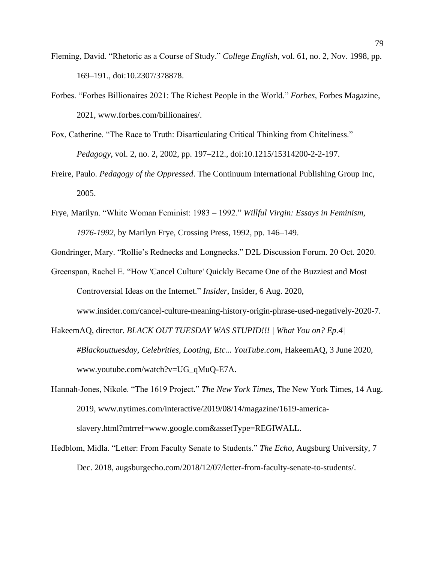- Fleming, David. "Rhetoric as a Course of Study." *College English*, vol. 61, no. 2, Nov. 1998, pp. 169–191., doi:10.2307/378878.
- Forbes. "Forbes Billionaires 2021: The Richest People in the World." *Forbes*, Forbes Magazine, 2021, www.forbes.com/billionaires/.
- Fox, Catherine. "The Race to Truth: Disarticulating Critical Thinking from Chiteliness." *Pedagogy*, vol. 2, no. 2, 2002, pp. 197–212., doi:10.1215/15314200-2-2-197.
- Freire, Paulo. *Pedagogy of the Oppressed*. The Continuum International Publishing Group Inc, 2005.
- Frye, Marilyn. "White Woman Feminist: 1983 1992." *Willful Virgin: Essays in Feminism, 1976-1992*, by Marilyn Frye, Crossing Press, 1992, pp. 146–149.
- Gondringer, Mary. "Rollie's Rednecks and Longnecks." D2L Discussion Forum. 20 Oct. 2020.
- Greenspan, Rachel E. "How 'Cancel Culture' Quickly Became One of the Buzziest and Most Controversial Ideas on the Internet." *Insider*, Insider, 6 Aug. 2020, www.insider.com/cancel-culture-meaning-history-origin-phrase-used-negatively-2020-7.
- HakeemAQ, director. *BLACK OUT TUESDAY WAS STUPID!!! | What You on? Ep.4| #Blackouttuesday, Celebrities, Looting, Etc... YouTube.com*, HakeemAQ, 3 June 2020, www.youtube.com/watch?v=UG\_qMuQ-E7A.
- Hannah-Jones, Nikole. "The 1619 Project." *The New York Times*, The New York Times, 14 Aug. 2019, www.nytimes.com/interactive/2019/08/14/magazine/1619-americaslavery.html?mtrref=www.google.com&assetType=REGIWALL.
- Hedblom, Midla. "Letter: From Faculty Senate to Students." *The Echo*, Augsburg University, 7 Dec. 2018, augsburgecho.com/2018/12/07/letter-from-faculty-senate-to-students/.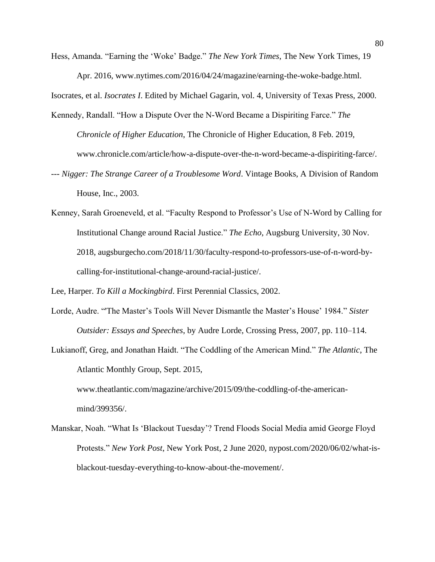Hess, Amanda. "Earning the 'Woke' Badge." *The New York Times*, The New York Times, 19 Apr. 2016, www.nytimes.com/2016/04/24/magazine/earning-the-woke-badge.html.

Isocrates, et al. *Isocrates I*. Edited by Michael Gagarin, vol. 4, University of Texas Press, 2000.

Kennedy, Randall. "How a Dispute Over the N-Word Became a Dispiriting Farce." *The Chronicle of Higher Education*, The Chronicle of Higher Education, 8 Feb. 2019, www.chronicle.com/article/how-a-dispute-over-the-n-word-became-a-dispiriting-farce/.

- --- *Nigger: The Strange Career of a Troublesome Word*. Vintage Books, A Division of Random House, Inc., 2003.
- Kenney, Sarah Groeneveld, et al. "Faculty Respond to Professor's Use of N-Word by Calling for Institutional Change around Racial Justice." *The Echo*, Augsburg University, 30 Nov. 2018, augsburgecho.com/2018/11/30/faculty-respond-to-professors-use-of-n-word-bycalling-for-institutional-change-around-racial-justice/.

Lee, Harper. *To Kill a Mockingbird*. First Perennial Classics, 2002.

- Lorde, Audre. "'The Master's Tools Will Never Dismantle the Master's House' 1984." *Sister Outsider: Essays and Speeches*, by Audre Lorde, Crossing Press, 2007, pp. 110–114.
- Lukianoff, Greg, and Jonathan Haidt. "The Coddling of the American Mind." *The Atlantic*, The Atlantic Monthly Group, Sept. 2015,

www.theatlantic.com/magazine/archive/2015/09/the-coddling-of-the-americanmind/399356/.

Manskar, Noah. "What Is 'Blackout Tuesday'? Trend Floods Social Media amid George Floyd Protests." *New York Post*, New York Post, 2 June 2020, nypost.com/2020/06/02/what-isblackout-tuesday-everything-to-know-about-the-movement/.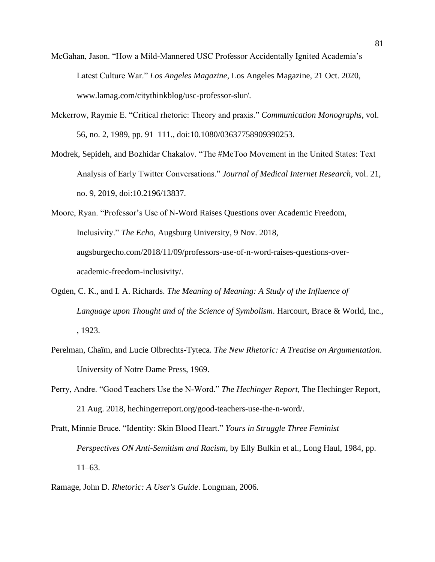- McGahan, Jason. "How a Mild-Mannered USC Professor Accidentally Ignited Academia's Latest Culture War." *Los Angeles Magazine*, Los Angeles Magazine, 21 Oct. 2020, www.lamag.com/citythinkblog/usc-professor-slur/.
- Mckerrow, Raymie E. "Critical rhetoric: Theory and praxis." *Communication Monographs*, vol. 56, no. 2, 1989, pp. 91–111., doi:10.1080/03637758909390253.
- Modrek, Sepideh, and Bozhidar Chakalov. "The #MeToo Movement in the United States: Text Analysis of Early Twitter Conversations." *Journal of Medical Internet Research*, vol. 21, no. 9, 2019, doi:10.2196/13837.

Moore, Ryan. "Professor's Use of N-Word Raises Questions over Academic Freedom, Inclusivity." *The Echo*, Augsburg University, 9 Nov. 2018, augsburgecho.com/2018/11/09/professors-use-of-n-word-raises-questions-overacademic-freedom-inclusivity/.

- Ogden, C. K., and I. A. Richards. *The Meaning of Meaning: A Study of the Influence of Language upon Thought and of the Science of Symbolism*. Harcourt, Brace & World, Inc., , 1923.
- Perelman, Chaïm, and Lucie Olbrechts-Tyteca. *The New Rhetoric: A Treatise on Argumentation*. University of Notre Dame Press, 1969.
- Perry, Andre. "Good Teachers Use the N-Word." *The Hechinger Report*, The Hechinger Report, 21 Aug. 2018, hechingerreport.org/good-teachers-use-the-n-word/.

Pratt, Minnie Bruce. "Identity: Skin Blood Heart." *Yours in Struggle Three Feminist Perspectives ON Anti-Semitism and Racism*, by Elly Bulkin et al., Long Haul, 1984, pp. 11–63.

Ramage, John D. *Rhetoric: A User's Guide*. Longman, 2006.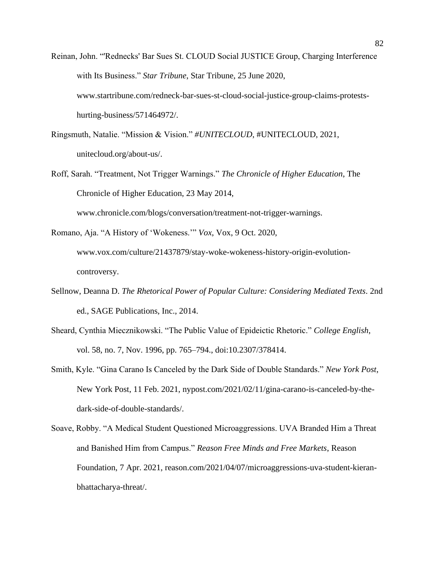- Reinan, John. "'Rednecks' Bar Sues St. CLOUD Social JUSTICE Group, Charging Interference with Its Business." *Star Tribune*, Star Tribune, 25 June 2020, www.startribune.com/redneck-bar-sues-st-cloud-social-justice-group-claims-protestshurting-business/571464972/.
- Ringsmuth, Natalie. "Mission & Vision." *#UNITECLOUD*, #UNITECLOUD, 2021, unitecloud.org/about-us/.
- Roff, Sarah. "Treatment, Not Trigger Warnings." *The Chronicle of Higher Education*, The Chronicle of Higher Education, 23 May 2014,

www.chronicle.com/blogs/conversation/treatment-not-trigger-warnings.

- Romano, Aja. "A History of 'Wokeness.'" *Vox*, Vox, 9 Oct. 2020, www.vox.com/culture/21437879/stay-woke-wokeness-history-origin-evolutioncontroversy.
- Sellnow, Deanna D. *The Rhetorical Power of Popular Culture: Considering Mediated Texts*. 2nd ed., SAGE Publications, Inc., 2014.
- Sheard, Cynthia Miecznikowski. "The Public Value of Epideictic Rhetoric." *College English*, vol. 58, no. 7, Nov. 1996, pp. 765–794., doi:10.2307/378414.
- Smith, Kyle. "Gina Carano Is Canceled by the Dark Side of Double Standards." *New York Post*, New York Post, 11 Feb. 2021, nypost.com/2021/02/11/gina-carano-is-canceled-by-thedark-side-of-double-standards/.
- Soave, Robby. "A Medical Student Questioned Microaggressions. UVA Branded Him a Threat and Banished Him from Campus." *Reason Free Minds and Free Markets*, Reason Foundation, 7 Apr. 2021, reason.com/2021/04/07/microaggressions-uva-student-kieranbhattacharya-threat/.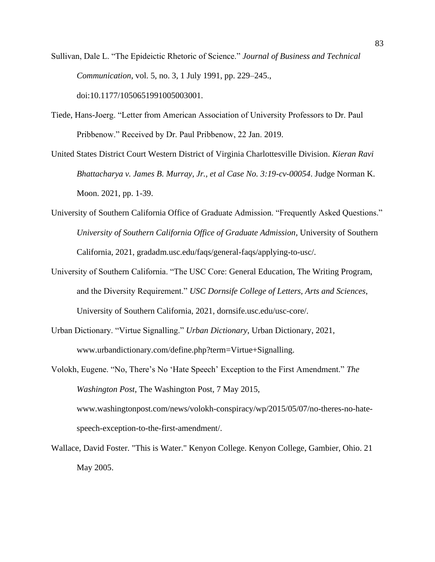Sullivan, Dale L. "The Epideictic Rhetoric of Science." *Journal of Business and Technical Communication*, vol. 5, no. 3, 1 July 1991, pp. 229–245., doi:10.1177/1050651991005003001.

Tiede, Hans-Joerg. "Letter from American Association of University Professors to Dr. Paul Pribbenow." Received by Dr. Paul Pribbenow, 22 Jan. 2019.

United States District Court Western District of Virginia Charlottesville Division. *Kieran Ravi Bhattacharya v. James B. Murray, Jr., et al Case No. 3:19-cv-00054*. Judge Norman K. Moon. 2021, pp. 1-39.

- University of Southern California Office of Graduate Admission. "Frequently Asked Questions." *University of Southern California Office of Graduate Admission*, University of Southern California, 2021, gradadm.usc.edu/faqs/general-faqs/applying-to-usc/.
- University of Southern California. "The USC Core: General Education, The Writing Program, and the Diversity Requirement." *USC Dornsife College of Letters, Arts and Sciences*, University of Southern California, 2021, dornsife.usc.edu/usc-core/.
- Urban Dictionary. "Virtue Signalling." *Urban Dictionary*, Urban Dictionary, 2021, www.urbandictionary.com/define.php?term=Virtue+Signalling.

Volokh, Eugene. "No, There's No 'Hate Speech' Exception to the First Amendment." *The Washington Post*, The Washington Post, 7 May 2015, www.washingtonpost.com/news/volokh-conspiracy/wp/2015/05/07/no-theres-no-hatespeech-exception-to-the-first-amendment/.

Wallace, David Foster. "This is Water." Kenyon College. Kenyon College, Gambier, Ohio. 21 May 2005.